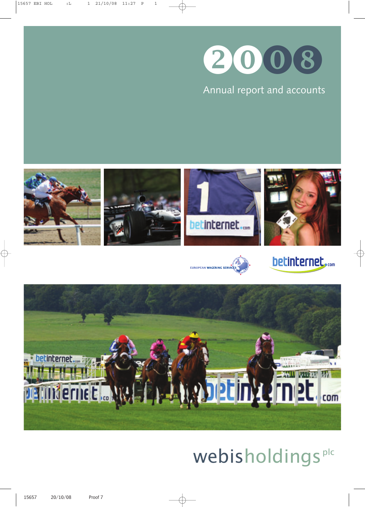

# Annual report and accounts

**betinternet.....** 







# webisholdings<sup>plc</sup>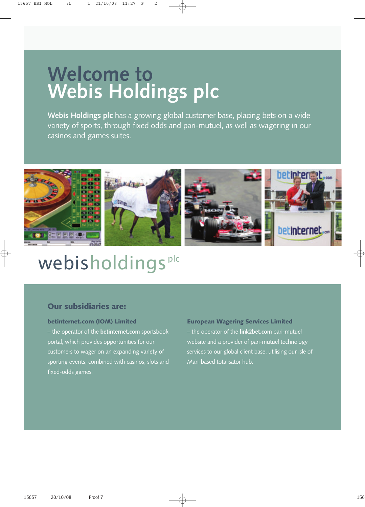# **Welcome to Webis Holdings plc**

**Webis Holdings plc** has a growing global customer base, placing bets on a wide variety of sports, through fixed odds and pari-mutuel, as well as wagering in our casinos and games suites.



# webisholdings<sup>plc</sup>

# **Our subsidiaries are:**

**betinternet.com (IOM) Limited** – the operator of the **betinternet.com** sportsbook portal, which provides opportunities for our customers to wager on an expanding variety of sporting events, combined with casinos, slots and fixed-odds games.

**European Wagering Services Limited** – the operator of the **link2bet.com** pari-mutuel website and a provider of pari-mutuel technology services to our global client base, utilising our Isle of Man-based totalisator hub.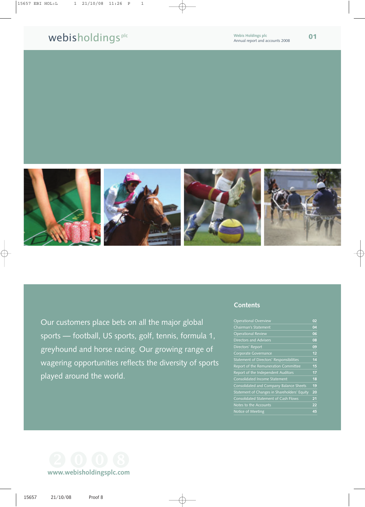# Webis holdings plc webis Holdings plc



Our customers place bets on all the major global sports — football, US sports, golf, tennis, formula 1, greyhound and horse racing. Our growing range of wagering opportunities reflects the diversity of sports played around the world.

### **Contents**

| 02 |
|----|
| 04 |
| 06 |
| 08 |
| 09 |
| 12 |
| 14 |
| 15 |
| 17 |
| 18 |
| 19 |
| 20 |
| 21 |
| 22 |
| 45 |
|    |

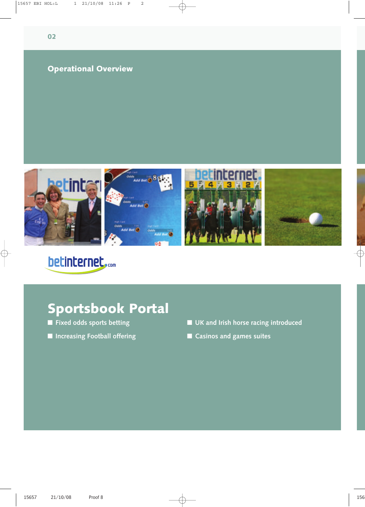# **Operational Overview**



# betinternet.....

# **Sportsbook Portal**

- **■ Fixed odds sports betting**
- **■ Increasing Football offering**
- **■ UK and Irish horse racing introduced**
- **■ Casinos and games suites**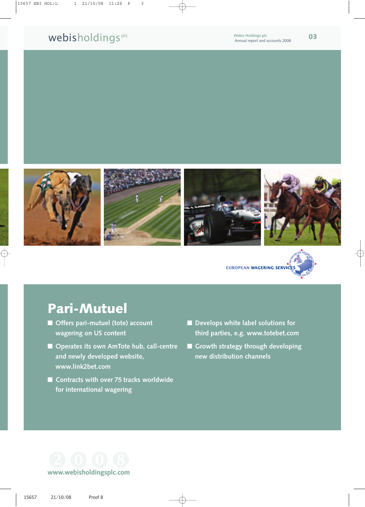# **webisholdings**  $plc$  **Webisholdings**  $plc$  **Webis Holdings plc Annual report and accounts 2008**<br> **Annual report and accounts 2008**

**3**



# **EUROPEAN WAGERING SERVICES**

# **Pari-Mutuel**

- **■ Offers pari-mutuel (tote) account wagering on US content**
- **■ Operates its own AmTote hub, call-centre and newly developed website, www.link2bet.com**
- **Contracts with over 75 tracks worldwide for international wagering**
- **■ Develops white label solutions for third parties, e.g. www.totebet.com**
- **■ Growth strategy through developing new distribution channels**

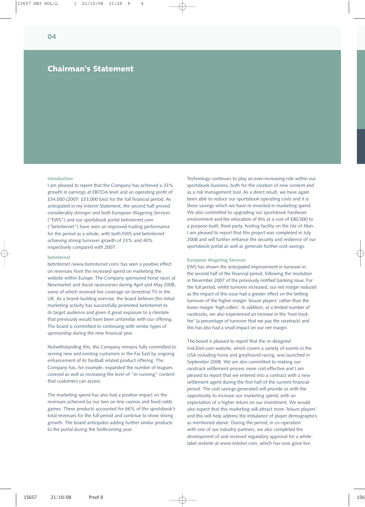## **Chairman's Statement**

#### **Introduction**

I am pleased to report that the Company has achieved a 33% growth in earnings at EBITDA level and an operating profit of £34,000 (2007: £33,000 loss) for the full financial period. As anticipated in my Interim Statement, the second half proved considerably stronger and both European Wagering Services ("EWS") and our sportsbook portal betinternet.com ("betinternet") have seen an improved trading performance for the period as a whole, with both EWS and betinternet achieving strong turnover growth of 23% and 40% respectively compared with 2007.

#### **betinternet**

betinternet *(www.betinternet.com)* has seen a positive effect on revenues from the increased spend on marketing the website within Europe. The Company sponsored horse races at Newmarket and Ascot racecourses during April and May 2008, some of which received live coverage on terrestrial TV in the UK. As a brand-building exercise, the board believes this initial marketing activity has successfully promoted betinternet to its target audience and given it great exposure to a clientele that previously would have been unfamiliar with our offering. The board is committed to continuing with similar types of sponsorship during the new financial year.

Notwithstanding this, the Company remains fully committed to serving new and existing customers in the Far East by ongoing enhancement of its football related product offering. The Company has, for example, expanded the number of leagues covered as well as increasing the level of "in-running" content that customers can access.

The marketing spend has also had a positive impact on the revenues achieved by our two on-line casinos and fixed-odds games. These products accounted for 66% of the sportsbook's total revenues for the full period and continue to show strong growth. The board anticipates adding further similar products to the portal during the forthcoming year.

Technology continues to play an ever-increasing role within our sportsbook business, both for the creation of new content and as a risk management tool. As a direct result, we have again been able to reduce our sportsbook operating costs and it is these savings which we have re-invested in marketing spend. We also committed to upgrading our sportsbook hardware environment and the relocation of this at a cost of £80,000 to a purpose-built, third-party, hosting facility on the Isle of Man. I am pleased to report that this project was completed in July 2008 and will further enhance the security and resilience of our sportsbook portal as well as generate further cost-savings.

#### **European Wagering Services**

EWS has shown the anticipated improvement in turnover in the second half of the financial period, following the resolution in November 2007 of the previously notified banking issue. For the full period, whilst turnover increased, our net margin reduced as the impact of this issue had a greater effect on the betting turnover of the higher margin 'leisure players' rather than the lower margin 'high rollers'. In addition, at a limited number of racetracks, we also experienced an increase in the 'host track fee' (a percentage of turnover that we pay the racetrack) and this has also had a small impact on our net margin.

The board is pleased to report that the re-designed *link2bet.com* website, which covers a variety of events in the USA including horse and greyhound racing, was launched in September 2008. We are also committed to making our racetrack settlement process more cost effective and I am pleased to report that we entered into a contract with a new settlement agent during the first half of the current financial period. The cost savings generated will provide us with the opportunity to increase our marketing spend, with an expectation of a higher return on our investment. We would also expect that this marketing will attract more 'leisure players' and this will help address the imbalance of player demographics as mentioned above. During the period, in co-operation with one of our industry partners, we also completed the development of and received regulatory approval for a whitelabel website at *www.totebet.com*, which has now gone live.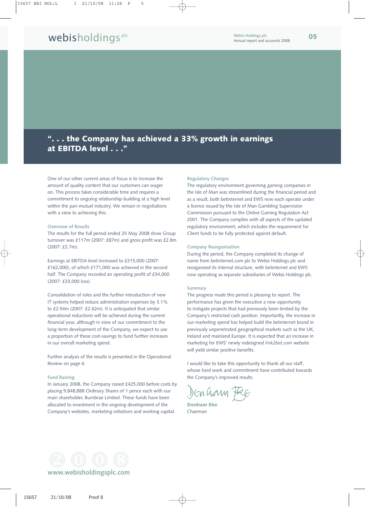# **Webisholdings** Plc **Webisholdings** Plc **Webisholdings** Plc

# **". . . the Company has achieved a 33% growth in earnings at EBITDA level . . ."**

One of our other current areas of focus is to increase the amount of quality content that our customers can wager on. This process takes considerable time and requires a commitment to ongoing relationship-building at a high level within the pari-mutuel industry. We remain in negotiations with a view to achieving this.

#### **Overview of Results**

The results for the full period ended 25 May 2008 show Group turnover was £117m (2007: £87m) and gross profit was £2.8m (2007: £2.7m).

Earnings at EBITDA level increased to £215,000 (2007: £162,000), of which £171,000 was achieved in the second half. The Company recorded an operating profit of £34,000 (2007: £33,000 loss).

Consolidation of roles and the further introduction of new IT systems helped reduce administration expenses by 3.1% to £2.54m (2007: £2.62m). It is anticipated that similar operational reductions will be achieved during the current financial year, although in view of our commitment to the long-term development of the Company, we expect to use a proportion of these cost-savings to fund further increases in our overall marketing spend.

Further analysis of the results is presented in the Operational Review on page 6.

#### **Fund Raising**

In January 2008, the Company raised £425,000 before costs by placing 9,848,888 Ordinary Shares of 1 pence each with our main shareholder, Burnbrae Limited. These funds have been allocated to investment in the ongoing development of the Company's websites, marketing initiatives and working capital.

#### **Regulatory Changes**

The regulatory environment governing gaming companies in the Isle of Man was streamlined during the financial period and as a result, both betinternet and EWS now each operate under a licence issued by the Isle of Man Gambling Supervision Commission pursuant to the Online Gaming Regulation Act 2001. The Company complies with all aspects of the updated regulatory environment, which includes the requirement for Client funds to be fully protected against default.

#### **Company Reorganisation**

During the period, the Company completed its change of name from betinternet.com plc to Webis Holdings plc and reorganised its internal structure, with betinternet and EWS now operating as separate subsidiaries of Webis Holdings plc.

#### **Summary**

The progress made this period is pleasing to report. The performance has given the executive a new opportunity to instigate projects that had previously been limited by the Company's restricted cash position. Importantly, the increase in our marketing spend has helped build the betinternet brand in previously unpenetrated geographical markets such as the UK, Ireland and mainland Europe. It is expected that an increase in marketing for EWS' newly redesigned *link2bet.com* website will yield similar positive benefits.

I would like to take this opportunity to thank all our staff, whose hard work and commitment have contributed towards the Company's improved results.

Den ham fre

**Denham Eke** Chairman

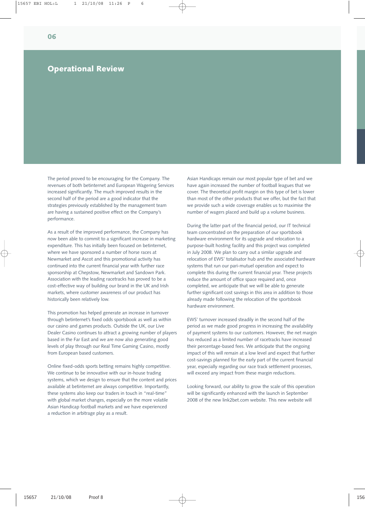# **Operational Review**

The period proved to be encouraging for the Company. The revenues of both betinternet and European Wagering Services increased significantly. The much improved results in the second half of the period are a good indicator that the strategies previously established by the management team are having a sustained positive effect on the Company's performance.

As a result of the improved performance, the Company has now been able to commit to a significant increase in marketing expenditure. This has initially been focused on betinternet, where we have sponsored a number of horse races at Newmarket and Ascot and this promotional activity has continued into the current financial year with further race sponsorship at Chepstow, Newmarket and Sandown Park. Association with the leading racetracks has proved to be a cost-effective way of building our brand in the UK and Irish markets, where customer awareness of our product has historically been relatively low.

This promotion has helped generate an increase in turnover through betinternet's fixed odds sportsbook as well as within our casino and games products. Outside the UK, our Live Dealer Casino continues to attract a growing number of players based in the Far East and we are now also generating good levels of play through our Real Time Gaming Casino, mostly from European based customers.

Online fixed-odds sports betting remains highly competitive. We continue to be innovative with our in-house trading systems, which we design to ensure that the content and prices available at betinternet are always competitive. Importantly, these systems also keep our traders in touch in "real-time" with global market changes, especially on the more volatile Asian Handicap football markets and we have experienced a reduction in arbitrage play as a result.

Asian Handicaps remain our most popular type of bet and we have again increased the number of football leagues that we cover. The theoretical profit margin on this type of bet is lower than most of the other products that we offer, but the fact that we provide such a wide coverage enables us to maximise the number of wagers placed and build up a volume business.

During the latter part of the financial period, our IT technical team concentrated on the preparation of our sportsbook hardware environment for its upgrade and relocation to a purpose-built hosting facility and this project was completed in July 2008. We plan to carry out a similar upgrade and relocation of EWS' totalisator hub and the associated hardware systems that run our pari-mutuel operation and expect to complete this during the current financial year. These projects reduce the amount of office space required and, once completed, we anticipate that we will be able to generate further significant cost savings in this area in addition to those already made following the relocation of the sportsbook hardware environment.

EWS' turnover increased steadily in the second half of the period as we made good progress in increasing the availability of payment systems to our customers. However, the net margin has reduced as a limited number of racetracks have increased their percentage-based fees. We anticipate that the ongoing impact of this will remain at a low level and expect that further cost-savings planned for the early part of the current financial year, especially regarding our race track settlement processes, will exceed any impact from these margin reductions.

Looking forward, our ability to grow the scale of this operation will be significantly enhanced with the launch in September 2008 of the new link2bet.com website. This new website will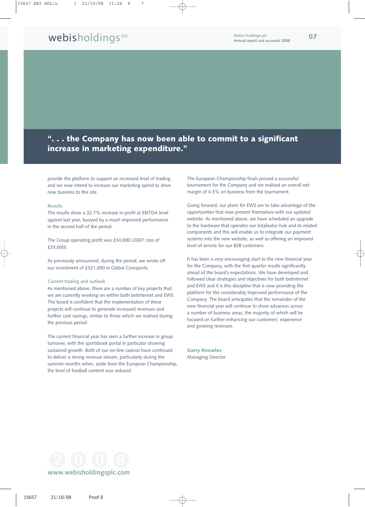# **Webisholdings**  $plc$  **Webisholdings**  $plc$  **Webisholdings**  $plc$  **Annual report and ac**

# **". . . the Company has now been able to commit to a significant increase in marketing expenditure."**

provide the platform to support an increased level of trading and we now intend to increase our marketing spend to drive new business to this site.

#### **Results**

The results show a 32.7% increase in profit at EBITDA level against last year, buoyed by a much improved performance in the second half of the period.

The Group operating profit was £34,000 (2007: loss of £33,000).

As previously announced, during the period, we wrote off our investment of £321,000 in Global Coresports.

#### **Current trading and outlook**

As mentioned above, there are a number of key projects that we are currently working on within both betinternet and EWS. The board is confident that the implementation of these projects will continue to generate increased revenues and further cost savings, similar to those which we realised during the previous period.

The current financial year has seen a further increase in group turnover, with the sportsbook portal in particular showing sustained growth. Both of our on-line casinos have continued to deliver a strong revenue stream, particularly during the summer months when, aside from the European Championship, the level of football content was reduced.

The European Championship finals proved a successful tournament for the Company and we realised an overall net margin of 4.3% on business from the tournament.

Going forward, our plans for EWS are to take advantage of the opportunities that now present themselves with our updated website. As mentioned above, we have scheduled an upgrade to the hardware that operates our totalisator hub and its related components and this will enable us to integrate our payment systems into the new website, as well as offering an improved level of service for our B2B customers.

It has been a very encouraging start to the new financial year for the Company, with the first quarter results significantly ahead of the board's expectations. We have developed and followed clear strategies and objectives for both betinternet and EWS and it is this discipline that is now providing the platform for the considerably improved performance of the Company. The board anticipates that the remainder of the new financial year will continue to show advances across a number of business areas, the majority of which will be focused on further enhancing our customers' experience and growing revenues.

**Garry Knowles** Managing Director

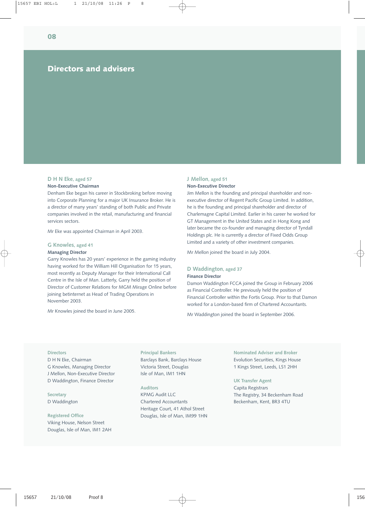#### **D H N Eke, aged 57**

#### **Non-Executive Chairman**

Denham Eke began his career in Stockbroking before moving into Corporate Planning for a major UK Insurance Broker. He is a director of many years' standing of both Public and Private companies involved in the retail, manufacturing and financial services sectors.

Mr Eke was appointed Chairman in April 2003.

#### **G Knowles, aged 41**

#### **Managing Director**

Garry Knowles has 20 years' experience in the gaming industry having worked for the William Hill Organisation for 15 years, most recently as Deputy Manager for their International Call Centre in the Isle of Man. Latterly, Garry held the position of Director of Customer Relations for MGM Mirage Online before joining betinternet as Head of Trading Operations in November 2003.

Mr Knowles joined the board in June 2005.

### **J Mellon, aged 51**

#### **Non-Executive Director**

Jim Mellon is the founding and principal shareholder and nonexecutive director of Regent Pacific Group Limited. In addition, he is the founding and principal shareholder and director of Charlemagne Capital Limited. Earlier in his career he worked for GT Management in the United States and in Hong Kong and later became the co-founder and managing director of Tyndall Holdings plc. He is currently a director of Fixed Odds Group Limited and a variety of other investment companies.

Mr Mellon joined the board in July 2004.

#### **D Waddington, aged 37**

#### **Finance Director**

Damon Waddington FCCA joined the Group in February 2006 as Financial Controller. He previously held the position of Financial Controller within the Fortis Group. Prior to that Damon worked for a London-based firm of Chartered Accountants.

Mr Waddington joined the board in September 2006.

#### **Directors**

D H N Eke, Chairman G Knowles, Managing Director J Mellon, Non-Executive Director D Waddington, Finance Director

**Secretary** D Waddington

**Registered Office** Viking House, Nelson Street Douglas, Isle of Man, IM1 2AH

**Principal Bankers** Barclays Bank, Barclays House Victoria Street, Douglas Isle of Man, IM1 1HN

**Auditors** KPMG Audit LLC Chartered Accountants Heritage Court, 41 Athol Street Douglas, Isle of Man, IM99 1HN **Nominated Adviser and Broker** Evolution Securities, Kings House 1 Kings Street, Leeds, LS1 2HH

**UK Transfer Agent** Capita Registrars The Registry, 34 Beckenham Road Beckenham, Kent, BR3 4TU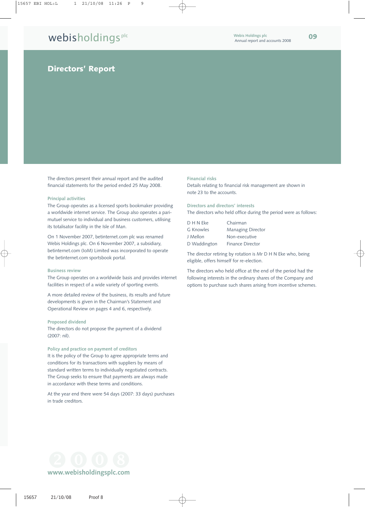# **Webis** Holdings plc **Conserved** Annual report and accounts 2008 **09**

The directors present their annual report and the audited financial statements for the period ended 25 May 2008.

#### **Principal activities**

The Group operates as a licensed sports bookmaker providing a worldwide internet service. The Group also operates a parimutuel service to individual and business customers, utilising its totalisator facility in the Isle of Man.

On 1 November 2007, betinternet.com plc was renamed Webis Holdings plc. On 6 November 2007, a subsidiary, betinternet.com (IoM) Limited was incorporated to operate the betinternet.com sportsbook portal.

#### **Business review**

The Group operates on a worldwide basis and provides internet facilities in respect of a wide variety of sporting events.

A more detailed review of the business, its results and future developments is given in the Chairman's Statement and Operational Review on pages 4 and 6, respectively.

#### **Proposed dividend**

The directors do not propose the payment of a dividend (2007: nil).

#### **Policy and practice on payment of creditors**

It is the policy of the Group to agree appropriate terms and conditions for its transactions with suppliers by means of standard written terms to individually negotiated contracts. The Group seeks to ensure that payments are always made in accordance with these terms and conditions.

At the year end there were 54 days (2007: 33 days) purchases in trade creditors.

#### **Financial risks**

Details relating to financial risk management are shown in note 23 to the accounts.

**Directors and directors' interests**

The directors who held office during the period were as follows:

| D H N Eke        | Chairman                 |
|------------------|--------------------------|
| <b>G</b> Knowles | <b>Managing Director</b> |
| J Mellon         | Non-executive            |
| D Waddington     | <b>Finance Director</b>  |

The director retiring by rotation is Mr D H N Eke who, being eligible, offers himself for re-election.

The directors who held office at the end of the period had the following interests in the ordinary shares of the Company and options to purchase such shares arising from incentive schemes.

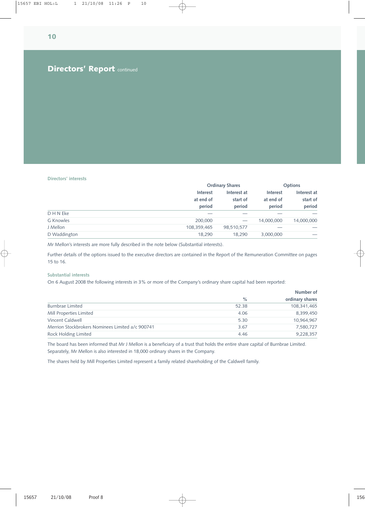# **Directors' Report continued**

#### **Directors' interests**

|                  |                 | <b>Ordinary Shares</b> |                 |             |
|------------------|-----------------|------------------------|-----------------|-------------|
|                  | <b>Interest</b> | Interest at            | <b>Interest</b> | Interest at |
|                  | at end of       | start of               | at end of       | start of    |
|                  | period          | period                 | period          | period      |
| D H N Eke        |                 |                        |                 |             |
| <b>G</b> Knowles | 200,000         |                        | 14.000.000      | 14.000.000  |
| J Mellon         | 108,359,465     | 98,510,577             |                 | -           |
| D Waddington     | 18.290          | 18.290                 | 3,000,000       |             |
|                  |                 |                        |                 |             |

Mr Mellon's interests are more fully described in the note below (Substantial interests).

Further details of the options issued to the executive directors are contained in the Report of the Remuneration Committee on pages 15 to 16.

#### **Substantial interests**

On 6 August 2008 the following interests in 3% or more of the Company's ordinary share capital had been reported:

|                                                  |       | Number of       |
|--------------------------------------------------|-------|-----------------|
|                                                  | $\%$  | ordinary shares |
| <b>Burnbrae Limited</b>                          | 52.38 | 108,341,465     |
| Mill Properties Limited                          | 4.06  | 8.399.450       |
| Vincent Caldwell                                 | 5.30  | 10,964,967      |
| Merrion Stockbrokers Nominees Limited a/c 900741 | 3.67  | 7,580,727       |
| Rock Holding Limited                             | 4.46  | 9,228,357       |

The board has been informed that Mr J Mellon is a beneficiary of a trust that holds the entire share capital of Burnbrae Limited. Separately, Mr Mellon is also interested in 18,000 ordinary shares in the Company.

The shares held by Mill Properties Limited represent a family related shareholding of the Caldwell family.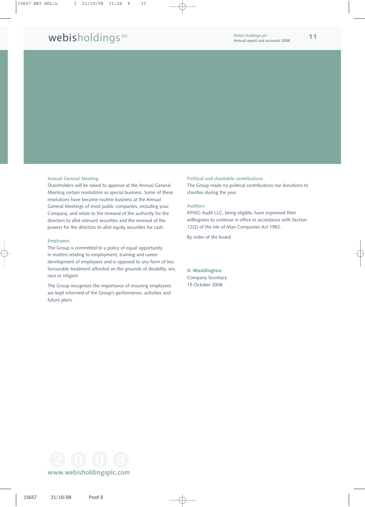# Webis holdings plc webis Holdings plc

#### **Annual General Meeting**

Shareholders will be asked to approve at the Annual General Meeting certain resolutions as special business. Some of these resolutions have become routine business at the Annual General Meetings of most public companies, including your Company, and relate to the renewal of the authority for the directors to allot relevant securities and the renewal of the powers for the directors to allot equity securities for cash.

#### **Employees**

The Group is committed to a policy of equal opportunity in matters relating to employment, training and career development of employees and is opposed to any form of less favourable treatment afforded on the grounds of disability, sex, race or religion.

The Group recognises the importance of ensuring employees are kept informed of the Group's performance, activities and future plans.

**Political and charitable contributions**

The Group made no political contributions nor donations to charities during the year.

#### **Auditors**

KPMG Audit LLC, being eligible, have expressed their willingness to continue in office in accordance with Section 12(2) of the Isle of Man Companies Act 1982.

By order of the board

**D Waddington** Company Secretary 15 October 2008

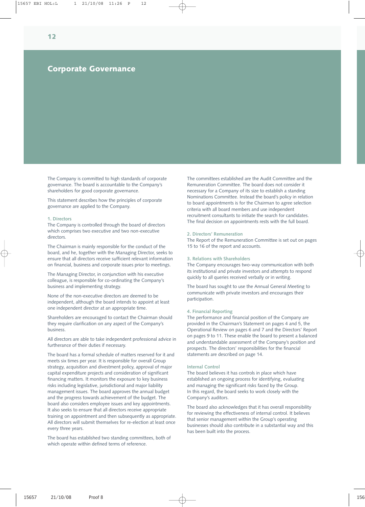### **Corporate Governance**

The Company is committed to high standards of corporate governance. The board is accountable to the Company's shareholders for good corporate governance.

This statement describes how the principles of corporate governance are applied to the Company.

#### **1. Directors**

The Company is controlled through the board of directors which comprises two executive and two non-executive directors.

The Chairman is mainly responsible for the conduct of the board, and he, together with the Managing Director, seeks to ensure that all directors receive sufficient relevant information on financial, business and corporate issues prior to meetings.

The Managing Director, in conjunction with his executive colleague, is responsible for co-ordinating the Company's business and implementing strategy.

None of the non-executive directors are deemed to be independent, although the board intends to appoint at least one independent director at an appropriate time.

Shareholders are encouraged to contact the Chairman should they require clarification on any aspect of the Company's business.

All directors are able to take independent professional advice in furtherance of their duties if necessary.

The board has a formal schedule of matters reserved for it and meets six times per year. It is responsible for overall Group strategy, acquisition and divestment policy, approval of major capital expenditure projects and consideration of significant financing matters. It monitors the exposure to key business risks including legislative, jurisdictional and major liability management issues. The board approves the annual budget and the progress towards achievement of the budget. The board also considers employee issues and key appointments. It also seeks to ensure that all directors receive appropriate training on appointment and then subsequently as appropriate. All directors will submit themselves for re-election at least once every three years.

The board has established two standing committees, both of which operate within defined terms of reference.

The committees established are the Audit Committee and the Remuneration Committee. The board does not consider it necessary for a Company of its size to establish a standing Nominations Committee. Instead the board's policy in relation to board appointments is for the Chairman to agree selection criteria with all board members and use independent recruitment consultants to initiate the search for candidates. The final decision on appointments rests with the full board.

#### **2. Directors' Remuneration**

The Report of the Remuneration Committee is set out on pages 15 to 16 of the report and accounts.

#### **3. Relations with Shareholders**

The Company encourages two-way communication with both its institutional and private investors and attempts to respond quickly to all queries received verbally or in writing.

The board has sought to use the Annual General Meeting to communicate with private investors and encourages their participation.

#### **4. Financial Reporting**

The performance and financial position of the Company are provided in the Chairman's Statement on pages 4 and 5, the Operational Review on pages 6 and 7 and the Directors' Report on pages 9 to 11. These enable the board to present a balanced and understandable assessment of the Company's position and prospects. The directors' responsibilities for the financial statements are described on page 14.

#### **Internal Control**

The board believes it has controls in place which have established an ongoing process for identifying, evaluating and managing the significant risks faced by the Group. In this regard, the board seeks to work closely with the Company's auditors.

The board also acknowledges that it has overall responsibility for reviewing the effectiveness of internal control. It believes that senior management within the Group's operating businesses should also contribute in a substantial way and this has been built into the process.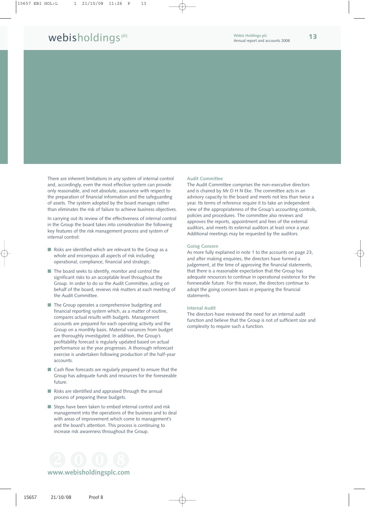# **webisholdings**  $plc$  **Webisholdings**  $plc$  **Webisholdings**  $plc$  **Annual report and ac**

There are inherent limitations in any system of internal control and, accordingly, even the most effective system can provide only reasonable, and not absolute, assurance with respect to the preparation of financial information and the safeguarding of assets. The system adopted by the board manages rather than eliminates the risk of failure to achieve business objectives.

In carrying out its review of the effectiveness of internal control in the Group the board takes into consideration the following key features of the risk management process and system of internal control:

- Risks are identified which are relevant to the Group as a whole and encompass all aspects of risk including operational, compliance, financial and strategic.
- The board seeks to identify, monitor and control the significant risks to an acceptable level throughout the Group. In order to do so the Audit Committee, acting on behalf of the board, reviews risk matters at each meeting of the Audit Committee.
- The Group operates a comprehensive budgeting and financial reporting system which, as a matter of routine, compares actual results with budgets. Management accounts are prepared for each operating activity and the Group on a monthly basis. Material variances from budget are thoroughly investigated. In addition, the Group's profitability forecast is regularly updated based on actual performance as the year progresses. A thorough reforecast exercise is undertaken following production of the half-year accounts.
- Cash flow forecasts are regularly prepared to ensure that the Group has adequate funds and resources for the foreseeable future.
- Risks are identified and appraised through the annual process of preparing these budgets.
- Steps have been taken to embed internal control and risk management into the operations of the business and to deal with areas of improvement which come to management's and the board's attention. This process is continuing to increase risk awareness throughout the Group.

#### **Audit Committee**

The Audit Committee comprises the non-executive directors and is chaired by Mr D H N Eke. The committee acts in an advisory capacity to the board and meets not less than twice a year. Its terms of reference require it to take an independent view of the appropriateness of the Group's accounting controls, policies and procedures. The committee also reviews and approves the reports, appointment and fees of the external auditors, and meets its external auditors at least once a year. Additional meetings may be requested by the auditors.

#### **Going Concern**

As more fully explained in note 1 to the accounts on page 23, and after making enquiries, the directors have formed a judgement, at the time of approving the financial statements, that there is a reasonable expectation that the Group has adequate resources to continue in operational existence for the foreseeable future. For this reason, the directors continue to adopt the going concern basis in preparing the financial statements.

#### **Internal Audit**

The directors have reviewed the need for an internal audit function and believe that the Group is not of sufficient size and complexity to require such a function.

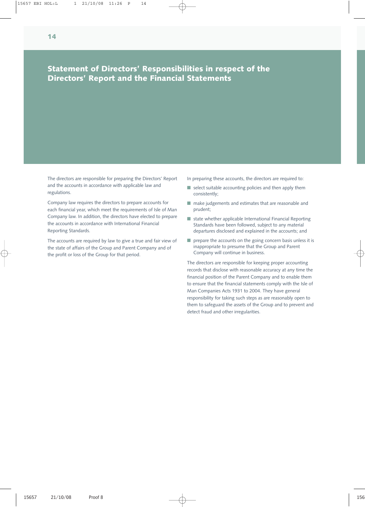# **Statement of Directors' Responsibilities in respect of the Directors' Report and the Financial Statements**

The directors are responsible for preparing the Directors' Report and the accounts in accordance with applicable law and regulations.

Company law requires the directors to prepare accounts for each financial year, which meet the requirements of Isle of Man Company law. In addition, the directors have elected to prepare the accounts in accordance with International Financial Reporting Standards.

The accounts are required by law to give a true and fair view of the state of affairs of the Group and Parent Company and of the profit or loss of the Group for that period.

In preparing these accounts, the directors are required to:

- select suitable accounting policies and then apply them consistently;
- make judgements and estimates that are reasonable and prudent;
- state whether applicable International Financial Reporting Standards have been followed, subject to any material departures disclosed and explained in the accounts; and
- prepare the accounts on the going concern basis unless it is inappropriate to presume that the Group and Parent Company will continue in business.

The directors are responsible for keeping proper accounting records that disclose with reasonable accuracy at any time the financial position of the Parent Company and to enable them to ensure that the financial statements comply with the Isle of Man Companies Acts 1931 to 2004. They have general responsibility for taking such steps as are reasonably open to them to safeguard the assets of the Group and to prevent and detect fraud and other irregularities.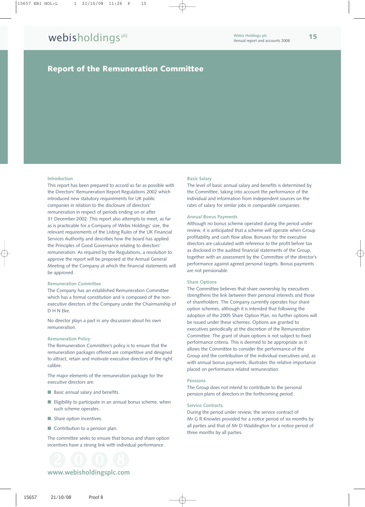# **Report of the Remuneration Committee**

#### **Introduction**

This report has been prepared to accord as far as possible with the Directors' Remuneration Report Regulations 2002 which introduced new statutory requirements for UK public companies in relation to the disclosure of directors' remuneration in respect of periods ending on or after 31 December 2002. This report also attempts to meet, as far as is practicable for a Company of Webis Holdings' size, the relevant requirements of the Listing Rules of the UK Financial Services Authority and describes how the board has applied the Principles of Good Governance relating to directors' remuneration. As required by the Regulations, a resolution to approve the report will be proposed at the Annual General Meeting of the Company at which the financial statements will be approved.

#### **Remuneration Committee**

The Company has an established Remuneration Committee which has a formal constitution and is composed of the nonexecutive directors of the Company under the Chairmanship of D H N Eke.

No director plays a part in any discussion about his own remuneration.

#### **Remuneration Policy**

The Remuneration Committee's policy is to ensure that the remuneration packages offered are competitive and designed to attract, retain and motivate executive directors of the right calibre.

The major elements of the remuneration package for the executive directors are:

- Basic annual salary and benefits.
- Eligibility to participate in an annual bonus scheme, when such scheme operates.
- Share option incentives.
- Contribution to a pension plan.

The committee seeks to ensure that bonus and share option incentives have a strong link with individual performance.



#### **Basic Salary**

The level of basic annual salary and benefits is determined by the Committee, taking into account the performance of the individual and information from independent sources on the rates of salary for similar jobs in comparable companies.

#### **Annual Bonus Payments**

Although no bonus scheme operated during the period under review, it is anticipated that a scheme will operate when Group profitability and cash flow allow. Bonuses for the executive directors are calculated with reference to the profit before tax as disclosed in the audited financial statements of the Group, together with an assessment by the Committee of the director's performance against agreed personal targets. Bonus payments are not pensionable.

#### **Share Options**

The Committee believes that share ownership by executives strengthens the link between their personal interests and those of shareholders. The Company currently operates four share option schemes, although it is intended that following the adoption of the 2005 Share Option Plan, no further options will be issued under these schemes. Options are granted to executives periodically at the discretion of the Remuneration Committee. The grant of share options is not subject to fixed performance criteria. This is deemed to be appropriate as it allows the Committee to consider the performance of the Group and the contribution of the individual executives and, as with annual bonus payments, illustrates the relative importance placed on performance related remuneration.

#### **Pensions**

The Group does not intend to contribute to the personal pension plans of directors in the forthcoming period.

#### **Service Contracts**

During the period under review, the service contract of Mr G R Knowles provided for a notice period of six months by all parties and that of Mr D Waddington for a notice period of three months by all parties.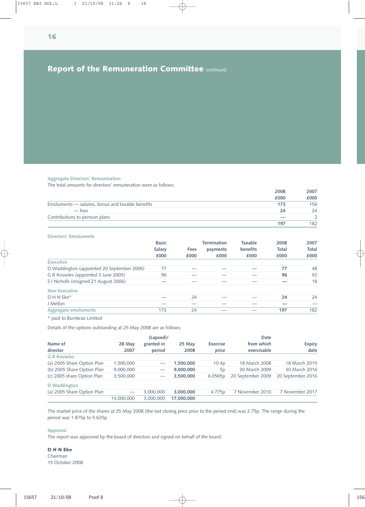# **Report of the Remuneration Committee** continued

#### **Aggregate Directors' Remuneration**

The total amounts for directors' remuneration were as follows:

|                                                   | 2008 | 2007 |
|---------------------------------------------------|------|------|
|                                                   | £000 | £000 |
| Emoluments - salaries, bonus and taxable benefits | 173  | 156  |
| — fees                                            | DД   | 24   |
| Contributions to pension plans                    |      |      |
|                                                   | 197  | 182  |

#### **Directors' Emoluments**

|                                            | <b>Basic</b>  |             | <b>Termination</b> | <b>Taxable</b> | 2008         | 2007         |
|--------------------------------------------|---------------|-------------|--------------------|----------------|--------------|--------------|
|                                            | <b>Salary</b> | <b>Fees</b> | payments           | benefits       | <b>Total</b> | <b>Total</b> |
|                                            | £000          | £000        | £000               | £000           | £000         | £000         |
| <b>Executive</b>                           |               |             |                    |                |              |              |
| D Waddington (appointed 20 September 2006) | 77            |             |                    |                | 77           | 48           |
| G R Knowles (appointed 3 June 2005)        | 96            |             |                    |                | 96           | 92           |
| S I Nicholls (resigned 21 August 2006)     |               |             |                    |                |              | 18           |
| <b>Non-Executive</b>                       |               |             |                    |                |              |              |
| $D$ H N Eke $*$                            |               | 24          |                    |                | 24           | 24           |
| J Mellon                                   |               |             |                    |                |              |              |
| Aggregate emoluments                       | 173           | 24          |                    |                | 197          | 182          |

\* paid to Burnbrae Limited

Details of the options outstanding at 25 May 2008 are as follows:

|                            |            | (Lapsed)/                |            |                   | Date              |                   |
|----------------------------|------------|--------------------------|------------|-------------------|-------------------|-------------------|
| Name of                    | 28 May     | granted in               | 25 May     | <b>Exercise</b>   | from which        | <b>Expiry</b>     |
| director                   | 2007       | period                   | 2008       | price             | exercisable       | date              |
| <b>G R Knowles</b>         |            |                          |            |                   |                   |                   |
| (a) 2005 Share Option Plan | 1,500,000  |                          | 1,500,000  | 10.4 <sub>p</sub> | 18 March 2008     | 18 March 2015     |
| (b) 2005 Share Option Plan | 9,000,000  | $\overline{\phantom{0}}$ | 9,000,000  | 5 <sub>D</sub>    | 30 March 2009     | 30 March 2016     |
| (c) 2005 share Option Plan | 3,500,000  |                          | 3,500,000  | 6.0565p           | 20 September 2009 | 20 September 2016 |
| D Waddington               |            |                          |            |                   |                   |                   |
| (a) 2005 Share Option Plan |            | 3,000,000                | 3,000,000  | 4.775p            | 7 November 2010   | 7 November 2017   |
|                            | 14.000.000 | 3,000,000                | 17.000.000 |                   |                   |                   |

The market price of the shares at 25 May 2008 (the last closing price prior to the period end) was 2.75p. The range during the period was 1.875p to 5.625p.

#### **Approval**

The report was approved by the board of directors and signed on behalf of the board.

**D H N Eke** Chairman 15 October 2008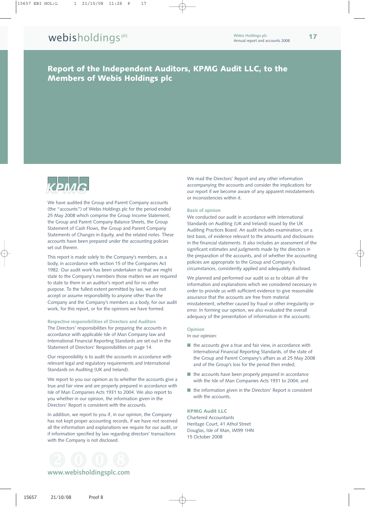# **Report of the Independent Auditors, KPMG Audit LLC, to the Members of Webis Holdings plc**



We have audited the Group and Parent Company accounts (the "accounts") of Webis Holdings plc for the period ended 25 May 2008 which comprise the Group Income Statement, the Group and Parent Company Balance Sheets, the Group Statement of Cash Flows, the Group and Parent Company Statements of Changes in Equity, and the related notes. These accounts have been prepared under the accounting policies set out therein.

This report is made solely to the Company's members, as a body, in accordance with section 15 of the Companies Act 1982. Our audit work has been undertaken so that we might state to the Company's members those matters we are required to state to them in an auditor's report and for no other purpose. To the fullest extent permitted by law, we do not accept or assume responsibility to anyone other than the Company and the Company's members as a body, for our audit work, for this report, or for the opinions we have formed.

**Respective responsibilities of Directors and Auditors** The Directors' responsibilities for preparing the accounts in accordance with applicable Isle of Man Company law and International Financial Reporting Standards are set out in the Statement of Directors' Responsibilities on page 14.

Our responsibility is to audit the accounts in accordance with relevant legal and regulatory requirements and International Standards on Auditing (UK and Ireland).

We report to you our opinion as to whether the accounts give a true and fair view and are properly prepared in accordance with Isle of Man Companies Acts 1931 to 2004. We also report to you whether in our opinion, the information given in the Directors' Report is consistent with the accounts.

In addition, we report to you if, in our opinion, the Company has not kept proper accounting records, if we have not received all the information and explanations we require for our audit, or if information specified by law regarding directors' transactions with the Company is not disclosed.

We read the Directors' Report and any other information accompanying the accounts and consider the implications for our report if we become aware of any apparent misstatements or inconsistencies within it.

#### **Basis of opinion**

We conducted our audit in accordance with International Standards on Auditing (UK and Ireland) issued by the UK Auditing Practices Board. An audit includes examination, on a test basis, of evidence relevant to the amounts and disclosures in the financial statements. It also includes an assessment of the significant estimates and judgments made by the directors in the preparation of the accounts, and of whether the accounting policies are appropriate to the Group and Company's circumstances, consistently applied and adequately disclosed.

We planned and performed our audit so as to obtain all the information and explanations which we considered necessary in order to provide us with sufficient evidence to give reasonable assurance that the accounts are free from material misstatement, whether caused by fraud or other irregularity or error. In forming our opinion, we also evaluated the overall adequacy of the presentation of information in the accounts.

#### **Opinion**

In our opinion:

- the accounts give a true and fair view, in accordance with International Financial Reporting Standards, of the state of the Group and Parent Company's affairs as at 25 May 2008 and of the Group's loss for the period then ended;
- the accounts have been properly prepared in accordance with the Isle of Man Companies Acts 1931 to 2004; and
- the information given in the Directors' Report is consistent with the accounts.

#### **KPMG Audit LLC**

Chartered Accountants Heritage Court, 41 Athol Street Douglas, Isle of Man, IM99 1HN 15 October 2008



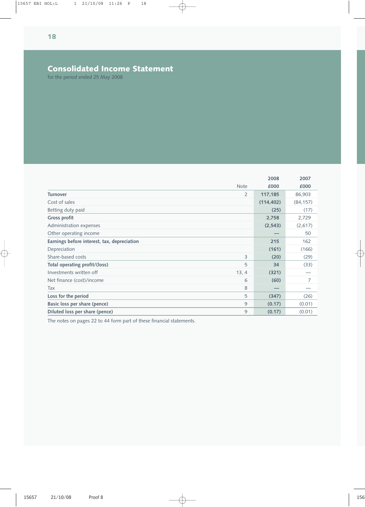# **Consolidated Income Statement**

for the period ended 25 May 2008

|                                             |             | 2008       | 2007      |
|---------------------------------------------|-------------|------------|-----------|
|                                             | <b>Note</b> | £000       | £000      |
| <b>Turnover</b>                             | 2           | 117,185    | 86,903    |
| Cost of sales                               |             | (114, 402) | (84, 157) |
| Betting duty paid                           |             | (25)       | (17)      |
| <b>Gross profit</b>                         |             | 2,758      | 2,729     |
| Administration expenses                     |             | (2, 543)   | (2,617)   |
| Other operating income                      |             |            | 50        |
| Earnings before interest, tax, depreciation |             | 215        | 162       |
| Depreciation                                |             | (161)      | (166)     |
| Share-based costs                           | 3           | (20)       | (29)      |
| Total operating profit/(loss)               | 5           | 34         | (33)      |
| Investments written off                     | 13, 4       | (321)      |           |
| Net finance (cost)/income                   | 6           | (60)       | 7         |
| Tax                                         | 8           |            |           |
| Loss for the period                         | 5           | (347)      | (26)      |
| Basic loss per share (pence)                | 9           | (0.17)     | (0.01)    |
| Diluted loss per share (pence)              | 9           | (0.17)     | (0.01)    |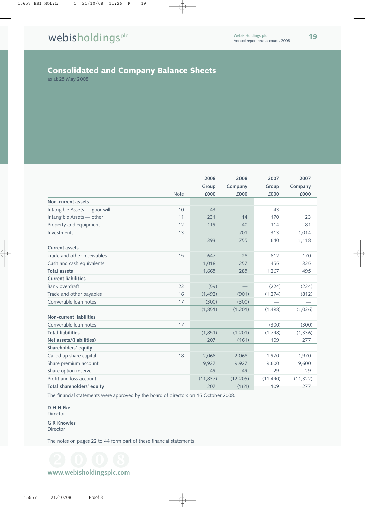# **Consolidated and Company Balance Sheets**

as at 25 May 2008

|                              |             | 2008           | 2008      | 2007           | 2007            |
|------------------------------|-------------|----------------|-----------|----------------|-----------------|
|                              |             | <b>Group</b>   | Company   | Group          | Company         |
|                              | <b>Note</b> | £000           | £000      | £000           | £000            |
| Non-current assets           |             |                |           |                |                 |
| Intangible Assets - goodwill | 10          | 43             |           | 43             |                 |
| Intangible Assets - other    | 11          | 231            | 14        | 170            | 23              |
| Property and equipment       | 12          | 119            | 40        | 114            | 81              |
| Investments                  | 13          |                | 701       | 313            | 1,014           |
|                              |             | 393            | 755       | 640            |                 |
| <b>Current assets</b>        |             |                |           |                | 1,118           |
| Trade and other receivables  | 15          | 647            | 28        | 812            | 170             |
| Cash and cash equivalents    |             | 1,018          | 257       | 455            | 325             |
| <b>Total assets</b>          |             | 1,665          | 285       | 1,267          | 495             |
| <b>Current liabilities</b>   |             |                |           |                |                 |
| Bank overdraft               | 23          | (59)           |           | (224)          | (224)           |
| Trade and other payables     | 16          |                | (901)     |                |                 |
| Convertible loan notes       | 17          | (1, 492)       |           | (1, 274)       | (812)           |
|                              |             | (300)          | (300)     |                |                 |
| Non-current liabilities      |             | (1,851)        | (1,201)   | (1,498)        | (1,036)         |
| Convertible loan notes       | 17          |                |           | (300)          | (300)           |
| <b>Total liabilities</b>     |             |                |           |                |                 |
|                              |             | (1,851)<br>207 | (1,201)   | (1,798)<br>109 | (1, 336)<br>277 |
| Net assets/(liabilities)     |             |                | (161)     |                |                 |
| Shareholders' equity         |             |                |           |                |                 |
| Called up share capital      | 18          | 2,068          | 2,068     | 1,970          | 1,970           |
| Share premium account        |             | 9,927          | 9,927     | 9,600          | 9,600           |
| Share option reserve         |             | 49             | 49        | 29             | 29              |
| Profit and loss account      |             | (11, 837)      | (12, 205) | (11, 490)      | (11, 322)       |
| Total shareholders' equity   |             | 207            | (161)     | 109            | 277             |

The financial statements were approved by the board of directors on 15 October 2008.

**D H N Eke** Director

**G R Knowles** Director

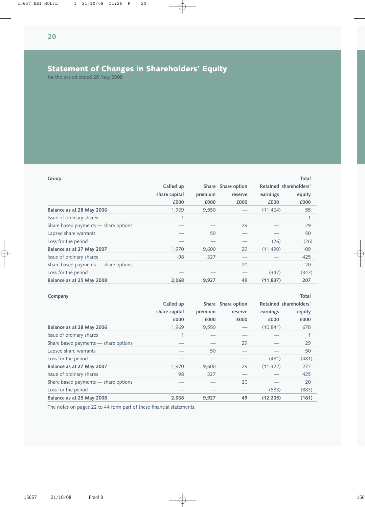# **Statement of Changes in Shareholders' Equity**

for the period ended 25 May 2008

| Group                                |               |         |                    |           | Total                  |
|--------------------------------------|---------------|---------|--------------------|-----------|------------------------|
|                                      | Called up     |         | Share Share option |           | Retained shareholders' |
|                                      | share capital | premium | reserve            | earnings  | equity                 |
|                                      | £000          | £000    | £000               | £000      | £000                   |
| Balance as at 28 May 2006            | 1.969         | 9,550   |                    | (11, 464) | 55                     |
| Issue of ordinary shares             | 1             |         |                    |           |                        |
| Share based payments - share options |               |         | 29                 |           | 29                     |
| Lapsed share warrants                |               | 50      |                    |           | 50                     |
| Loss for the period                  |               |         |                    | (26)      | (26)                   |
| Balance as at 27 May 2007            | 1.970         | 9,600   | 29                 | (11, 490) | 109                    |
| Issue of ordinary shares             | 98            | 327     |                    |           | 425                    |
| Share based payments - share options |               |         | 20                 |           | 20                     |
| Loss for the period                  |               |         |                    | (347)     | (347)                  |
| Balance as at 25 May 2008            | 2,068         | 9,927   | 49                 | (11, 837) | 207                    |

|               |         |         |                    | Total                  |
|---------------|---------|---------|--------------------|------------------------|
| Called up     |         |         |                    | Retained shareholders' |
| share capital | premium | reserve | earnings           | equity                 |
| £000          | £000    | £000    | £000               | £000                   |
| 1.969         | 9,550   |         | (10, 841)          | 678                    |
| 1             |         |         |                    | 1                      |
|               |         | 29      |                    | 29                     |
|               | 50      |         |                    | 50                     |
|               |         |         | (481)              | (481)                  |
| 1,970         | 9,600   | 29      | (11, 322)          | 277                    |
| 98            | 327     |         |                    | 425                    |
|               |         | 20      |                    | 20                     |
|               |         |         | (883)              | (883)                  |
| 2,068         | 9,927   | 49      | (12, 205)          | (161)                  |
|               |         |         | Share Share option |                        |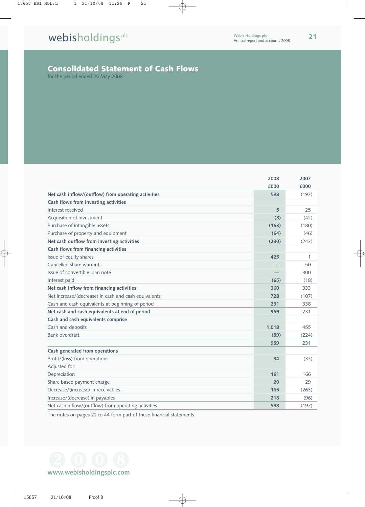# **Consolidated Statement of Cash Flows**

for the period ended 25 May 2008

|                                                      | 2008  | 2007  |
|------------------------------------------------------|-------|-------|
|                                                      | £000  | £000  |
| Net cash inflow/(outflow) from operating activities  | 598   | (197) |
| Cash flows from investing activities                 |       |       |
| Interest received                                    | 5     | 25    |
| Acquisition of investment                            | (8)   | (42)  |
| Purchase of intangible assets                        | (163) | (180) |
| Purchase of property and equipment                   | (64)  | (46)  |
| Net cash outflow from investing activities           | (230) | (243) |
| Cash flows from financing activities                 |       |       |
| Issue of equity shares                               | 425   | 1     |
| Cancelled share warrants                             |       | 50    |
| Issue of convertible loan note                       |       | 300   |
| Interest paid                                        | (65)  | (18)  |
| Net cash inflow from financing activities            | 360   | 333   |
| Net increase/(decrease) in cash and cash equivalents | 728   | (107) |
| Cash and cash equivalents at beginning of period     | 231   | 338   |
| Net cash and cash equivalents at end of period       | 959   | 231   |
| Cash and cash equivalents comprise                   |       |       |
| Cash and deposits                                    | 1,018 | 455   |
| <b>Bank overdraft</b>                                | (59)  | (224) |
|                                                      | 959   | 231   |
| Cash generated from operations                       |       |       |
| Profit/(loss) from operations                        | 34    | (33)  |
| Adjusted for:                                        |       |       |
| Depreciation                                         | 161   | 166   |
| Share based payment charge                           | 20    | 29    |
| Decrease/(increase) in receivables                   | 165   | (263) |
| Increase/(decrease) in payables                      | 218   | (96)  |
| Net cash inflow/(outflow) from operating activities  | 598   | (197) |

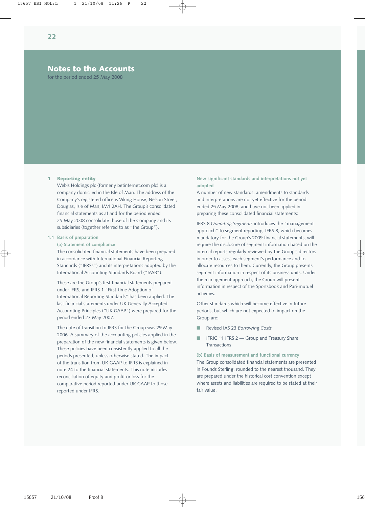### **Notes to the Accounts**

for the period ended 25 May 2008

#### **1 Reporting entity**

Webis Holdings plc (formerly betinternet.com plc) is a company domiciled in the Isle of Man. The address of the Company's registered office is Viking House, Nelson Street, Douglas, Isle of Man, IM1 2AH. The Group's consolidated financial statements as at and for the period ended 25 May 2008 consolidate those of the Company and its subsidiaries (together referred to as "the Group").

#### **1.1 Basis of preparation**

#### **(a) Statement of compliance**

The consolidated financial statements have been prepared in accordance with International Financial Reporting Standards ("IFRSs") and its interpretations adopted by the International Accounting Standards Board ("IASB").

These are the Group's first financial statements prepared under IFRS, and IFRS 1 "First-time Adoption of International Reporting Standards" has been applied. The last financial statements under UK Generally Accepted Accounting Principles ("UK GAAP") were prepared for the period ended 27 May 2007.

The date of transition to IFRS for the Group was 29 May 2006. A summary of the accounting policies applied in the preparation of the new financial statements is given below. These policies have been consistently applied to all the periods presented, unless otherwise stated. The impact of the transition from UK GAAP to IFRS is explained in note 24 to the financial statements. This note includes reconciliation of equity and profit or loss for the comparative period reported under UK GAAP to those reported under IFRS.

**New significant standards and interpretations not yet adopted**

A number of new standards, amendments to standards and interpretations are not yet effective for the period ended 25 May 2008, and have not been applied in preparing these consolidated financial statements:

IFRS 8 *Operating Segments* introduces the "management approach" to segment reporting. IFRS 8, which becomes mandatory for the Group's 2009 financial statements, will require the disclosure of segment information based on the internal reports regularly reviewed by the Group's directors in order to assess each segment's performance and to allocate resources to them. Currently, the Group presents segment information in respect of its business units. Under the management approach, the Group will present information in respect of the Sportsbook and Pari-mutuel activities.

Other standards which will become effective in future periods, but which are not expected to impact on the Group are:

- **■** Revised IAS 23 *Borrowing Costs*
- **IFRIC 11 IFRS 2 Group and Treasury Share** Transactions

**(b) Basis of measurement and functional currency**  The Group consolidated financial statements are presented in Pounds Sterling, rounded to the nearest thousand. They are prepared under the historical cost convention except where assets and liabilities are required to be stated at their fair value.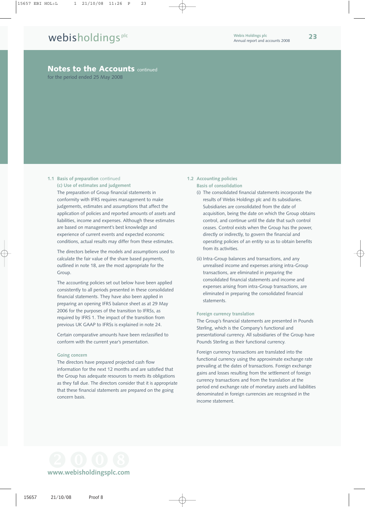for the period ended 25 May 2008

### **1.1 Basis of preparation** continued

#### **(c) Use of estimates and judgement**

The preparation of Group financial statements in conformity with IFRS requires management to make judgements, estimates and assumptions that affect the application of policies and reported amounts of assets and liabilities, income and expenses. Although these estimates are based on management's best knowledge and experience of current events and expected economic conditions, actual results may differ from these estimates.

The directors believe the models and assumptions used to calculate the fair value of the share based payments, outlined in note 18, are the most appropriate for the Group.

The accounting policies set out below have been applied consistently to all periods presented in these consolidated financial statements. They have also been applied in preparing an opening IFRS balance sheet as at 29 May 2006 for the purposes of the transition to IFRSs, as required by IFRS 1. The impact of the transition from previous UK GAAP to IFRSs is explained in note 24.

Certain comparative amounts have been reclassified to conform with the current year's presentation.

#### **Going concern**

The directors have prepared projected cash flow information for the next 12 months and are satisfied that the Group has adequate resources to meets its obligations as they fall due. The directors consider that it is appropriate that these financial statements are prepared on the going concern basis.

#### **1.2 Accounting policies Basis of consolidation**

# (i) The consolidated financial statements incorporate the

- results of Webis Holdings plc and its subsidiaries. Subsidiaries are consolidated from the date of acquisition, being the date on which the Group obtains control, and continue until the date that such control ceases. Control exists when the Group has the power, directly or indirectly, to govern the financial and operating policies of an entity so as to obtain benefits from its activities.
- (ii) Intra-Group balances and transactions, and any unrealised income and expenses arising intra-Group transactions, are eliminated in preparing the consolidated financial statements and income and expenses arising from intra-Group transactions, are eliminated in preparing the consolidated financial statements.

#### **Foreign currency translation**

The Group's financial statements are presented in Pounds Sterling, which is the Company's functional and presentational currency. All subsidiaries of the Group have Pounds Sterling as their functional currency.

Foreign currency transactions are translated into the functional currency using the approximate exchange rate prevailing at the dates of transactions. Foreign exchange gains and losses resulting from the settlement of foreign currency transactions and from the translation at the period end exchange rate of monetary assets and liabilities denominated in foreign currencies are recognised in the income statement.

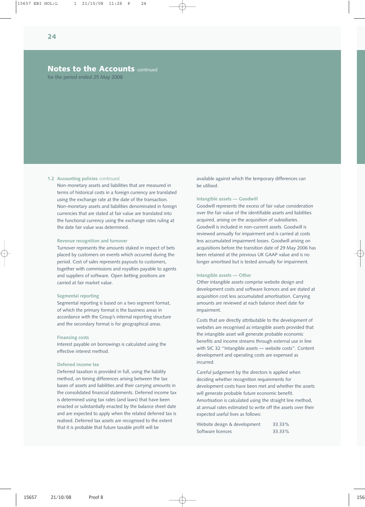for the period ended 25 May 2008

#### **1.2 Accounting policies** continued

Non-monetary assets and liabilities that are measured in terms of historical costs in a foreign currency are translated using the exchange rate at the date of the transaction. Non-monetary assets and liabilities denominated in foreign currencies that are stated at fair value are translated into the functional currency using the exchange rates ruling at the date fair value was determined.

#### **Revenue recognition and turnover**

Turnover represents the amounts staked in respect of bets placed by customers on events which occurred during the period. Cost of sales represents payouts to customers, together with commissions and royalties payable to agents and suppliers of software. Open betting positions are carried at fair market value.

#### **Segmental reporting**

Segmental reporting is based on a two segment format, of which the primary format is the business areas in accordance with the Group's internal reporting structure and the secondary format is for geographical areas.

#### **Financing costs**

Interest payable on borrowings is calculated using the effective interest method.

#### **Deferred income tax**

Deferred taxation is provided in full, using the liability method, on timing differences arising between the tax bases of assets and liabilities and their carrying amounts in the consolidated financial statements. Deferred income tax is determined using tax rates (and laws) that have been enacted or substantially enacted by the balance sheet date and are expected to apply when the related deferred tax is realised. Deferred tax assets are recognised to the extent that it is probable that future taxable profit will be

available against which the temporary differences can be utilised.

#### **Intangible assets — Goodwill**

Goodwill represents the excess of fair value consideration over the fair value of the identifiable assets and liabilities acquired, arising on the acquisition of subsidiaries. Goodwill is included in non-current assets. Goodwill is reviewed annually for impairment and is carried at costs less accumulated impairment losses. Goodwill arising on acquisitions before the transition date of 29 May 2006 has been retained at the previous UK GAAP value and is no longer amortised but is tested annually for impairment.

#### **Intangible assets — Other**

Other intangible assets comprise website design and development costs and software licences and are stated at acquisition cost less accumulated amortisation. Carrying amounts are reviewed at each balance sheet date for impairment.

Costs that are directly attributable to the development of websites are recognised as intangible assets provided that the intangible asset will generate probable economic benefits and income streams through external use in line with SIC 32 "Intangible assets — website costs". Content development and operating costs are expensed as incurred.

Careful judgement by the directors is applied when deciding whether recognition requirements for development costs have been met and whether the assets will generate probable future economic benefit. Amortisation is calculated using the straight line method, at annual rates estimated to write off the assets over their expected useful lives as follows:

| Website design & development | 33.33% |
|------------------------------|--------|
| Software licences            | 33.33% |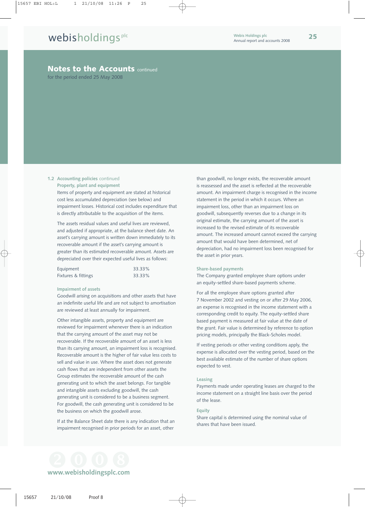for the period ended 25 May 2008

## **1.2 Accounting policies** continued

**Property, plant and equipment**

Items of property and equipment are stated at historical cost less accumulated depreciation (see below) and impairment losses. Historical cost includes expenditure that is directly attributable to the acquisition of the items.

The assets residual values and useful lives are reviewed, and adjusted if appropriate, at the balance sheet date. An asset's carrying amount is written down immediately to its recoverable amount if the asset's carrying amount is greater than its estimated recoverable amount. Assets are depreciated over their expected useful lives as follows:

| Equipment           | 33.33% |
|---------------------|--------|
| Fixtures & fittings | 33.33% |

#### **Impairment of assets**

Goodwill arising on acquisitions and other assets that have an indefinite useful life and are not subject to amortisation are reviewed at least annually for impairment.

Other intangible assets, property and equipment are reviewed for impairment whenever there is an indication that the carrying amount of the asset may not be recoverable. If the recoverable amount of an asset is less than its carrying amount, an impairment loss is recognised. Recoverable amount is the higher of fair value less costs to sell and value in use. Where the asset does not generate cash flows that are independent from other assets the Group estimates the recoverable amount of the cash generating unit to which the asset belongs. For tangible and intangible assets excluding goodwill, the cash generating unit is considered to be a business segment. For goodwill, the cash generating unit is considered to be the business on which the goodwill arose.

If at the Balance Sheet date there is any indication that an impairment recognised in prior periods for an asset, other

than goodwill, no longer exists, the recoverable amount is reassessed and the asset is reflected at the recoverable amount. An impairment charge is recognised in the income statement in the period in which it occurs. Where an impairment loss, other than an impairment loss on goodwill, subsequently reverses due to a change in its original estimate, the carrying amount of the asset is increased to the revised estimate of its recoverable amount. The increased amount cannot exceed the carrying amount that would have been determined, net of depreciation, had no impairment loss been recognised for the asset in prior years.

#### **Share-based payments**

The Company granted employee share options under an equity-settled share-based payments scheme.

For all the employee share options granted after 7 November 2002 and vesting on or after 29 May 2006, an expense is recognised in the income statement with a corresponding credit to equity. The equity-settled share based payment is measured at fair value at the date of the grant. Fair value is determined by reference to option pricing models, principally the Black-Scholes model.

If vesting periods or other vesting conditions apply, the expense is allocated over the vesting period, based on the best available estimate of the number of share options expected to vest.

#### **Leasing**

Payments made under operating leases are charged to the income statement on a straight line basis over the period of the lease.

#### **Equity**

Share capital is determined using the nominal value of shares that have been issued.

**25**

**www.webisholdingsplc.com** --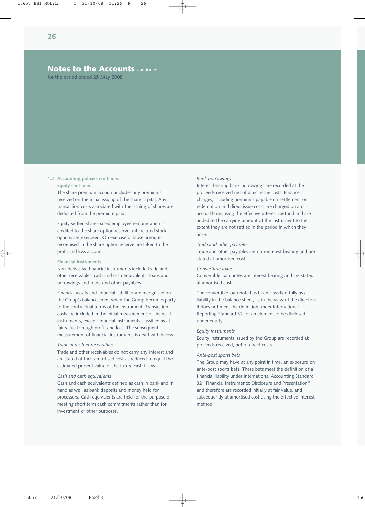for the period ended 25 May 2008

#### **1.2 Accounting policies** continued **Equity** continued

The share premium account includes any premiums received on the initial issuing of the share capital. Any transaction costs associated with the issuing of shares are deducted from the premium paid.

Equity settled share-based employee remuneration is credited to the share option reserve until related stock options are exercised. On exercise or lapse amounts recognised in the share option reserve are taken to the profit and loss account.

#### **Financial Instruments**

Non-derivative financial instruments include trade and other receivables, cash and cash equivalents, loans and borrowings and trade and other payables.

Financial assets and financial liabilities are recognised on the Group's balance sheet when the Group becomes party to the contractual terms of the instrument. Transaction costs are included in the initial measurement of financial instruments, except financial instruments classified as at fair value through profit and loss. The subsequent measurement of financial instruments is dealt with below.

#### *Trade and other receivables*

Trade and other receivables do not carry any interest and are stated at their amortised cost as reduced to equal the estimated present value of the future cash flows.

#### *Cash and cash equivalents*

Cash and cash equivalents defined as cash in bank and in hand as well as bank deposits and money held for processors. Cash equivalents are held for the purpose of meeting short term cash commitments rather than for investment or other purposes.

#### *Bank borrowings*

Interest bearing bank borrowings are recorded at the proceeds received net of direct issue costs. Finance charges, including premiums payable on settlement or redemption and direct issue costs are charged on an accrual basis using the effective interest method and are added to the carrying amount of the instrument to the extent they are not settled in the period in which they arise.

#### *Trade and other payables*

Trade and other payables are non-interest bearing and are stated at amortised cost.

#### *Convertible loans*

Convertible loan notes are interest bearing and are stated at amortised cost.

The convertible loan note has been classified fully as a liability in the balance sheet, as in the view of the directors it does not meet the definition under International Reporting Standard 32 for an element to be disclosed under equity.

#### *Equity instruments*

Equity instruments issued by the Group are recorded at proceeds received, net of direct costs.

#### *Ante-post sports bets*

The Group may have at any point in time, an exposure on ante-post sports bets. These bets meet the definition of a financial liability under International Accounting Standard 32 "Financial Instruments: Disclosure and Presentation", and therefore are recorded initially at fair value, and subsequently at amortised cost using the effective interest method.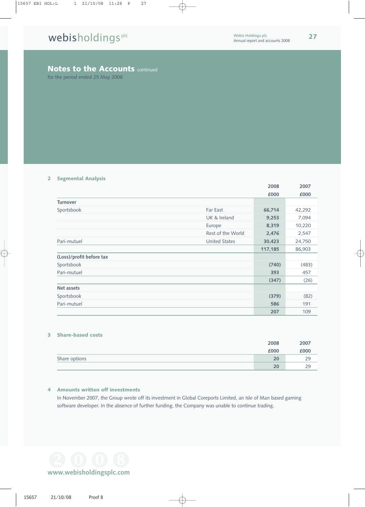for the period ended 25 May 2008

#### **2 Segmental Analysis**

|                          |                      | 2008    | 2007   |
|--------------------------|----------------------|---------|--------|
|                          |                      | £000    | £000   |
| <b>Turnover</b>          |                      |         |        |
| Sportsbook               | Far East             | 66,714  | 42,292 |
|                          | UK & Ireland         | 9,253   | 7,094  |
|                          | Europe               | 8,319   | 10,220 |
|                          | Rest of the World    | 2,476   | 2,547  |
| Pari-mutuel              | <b>United States</b> | 30,423  | 24,750 |
|                          |                      | 117,185 | 86,903 |
| (Loss)/profit before tax |                      |         |        |
| Sportsbook               |                      | (740)   | (483)  |
| Pari-mutuel              |                      | 393     | 457    |
|                          |                      | (347)   | (26)   |
| Net assets               |                      |         |        |
| Sportsbook               |                      | (379)   | (82)   |
| Pari-mutuel              |                      | 586     | 191    |
|                          |                      | 207     | 109    |

#### **3 Share-based costs**

|               | 2008          | 2007 |
|---------------|---------------|------|
|               | £000          | £000 |
| Share options | $\mathcal{D}$ |      |
|               | 20            | つC   |

#### **4 Amounts written off investments**

In November 2007, the Group wrote off its investment in Global Coreports Limited, an Isle of Man based gaming software developer. In the absence of further funding, the Company was unable to continue trading.

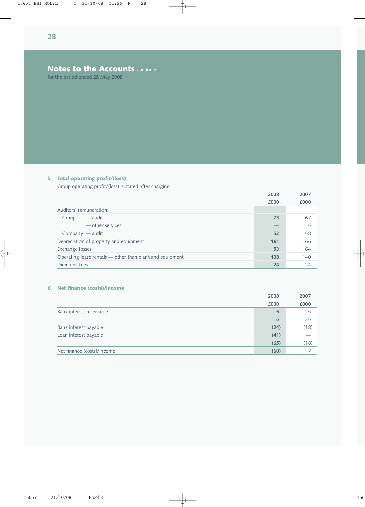for the period ended 25 May 2008

### **5 Total operating profit/(loss)**

Group operating profit/(loss) is stated after charging:

|                                                          | 2008 | 2007 |
|----------------------------------------------------------|------|------|
|                                                          | £000 | £000 |
| Auditors' remuneration:                                  |      |      |
| — audit<br>Group                                         | 73   | 67   |
| — other services                                         |      | 5    |
| $Company$ — audit                                        | 52   | 58   |
| Depreciation of property and equipment                   | 161  | 166  |
| Exchange losses                                          | 53   | 64   |
| Operating lease rentals - other than plant and equipment | 108  | 140  |
| Directors' fees                                          | 24   | 24   |

#### **6 Net finance (costs)/income**

|                            | 2008 | 2007 |
|----------------------------|------|------|
|                            | £000 | £000 |
| Bank interest receivable   | 5    | 25   |
|                            | 5    | 25   |
| Bank interest payable      | (24) | (18) |
| Loan interest payable      | (41) |      |
|                            | (65) | (18) |
| Net finance (costs)/income | (60) |      |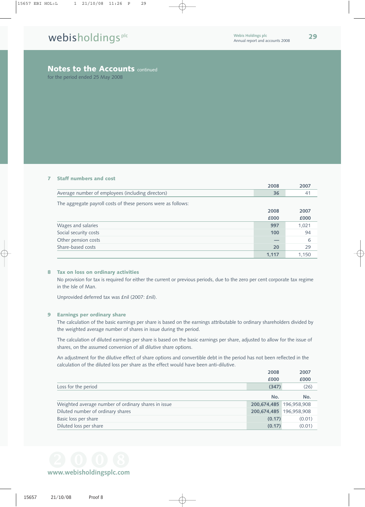for the period ended 25 May 2008

#### **7 Staff numbers and cost**

|                                                               | 2008  | 2007  |
|---------------------------------------------------------------|-------|-------|
| Average number of employees (including directors)             | 36    | 41    |
| The aggregate payroll costs of these persons were as follows: |       |       |
|                                                               | 2008  | 2007  |
|                                                               | £000  | £000  |
| Wages and salaries                                            | 997   | 1,021 |
| Social security costs                                         | 100   | 94    |
| Other pension costs                                           |       | 6     |
| Share-based costs                                             | 20    | 29    |
|                                                               | 1,117 | 1,150 |

#### **8 Tax on loss on ordinary activities**

No provision for tax is required for either the current or previous periods, due to the zero per cent corporate tax regime in the Isle of Man.

Unprovided deferred tax was £nil (2007: £nil).

#### **9 Earnings per ordinary share**

The calculation of the basic earnings per share is based on the earnings attributable to ordinary shareholders divided by the weighted average number of shares in issue during the period.

The calculation of diluted earnings per share is based on the basic earnings per share, adjusted to allow for the issue of shares, on the assumed conversion of all dilutive share options.

An adjustment for the dilutive effect of share options and convertible debt in the period has not been reflected in the calculation of the diluted loss per share as the effect would have been anti-dilutive.

|                                                     | 2008        | 2007        |
|-----------------------------------------------------|-------------|-------------|
|                                                     | £000        | £000        |
| Loss for the period                                 | (347)       | (26)        |
|                                                     | No.         | No.         |
| Weighted average number of ordinary shares in issue | 200,674,485 | 196,958,908 |
| Diluted number of ordinary shares                   | 200,674,485 | 196,958,908 |
| Basic loss per share                                | (0.17)      | (0.01)      |
| Diluted loss per share                              | (0.17)      | (0.01)      |

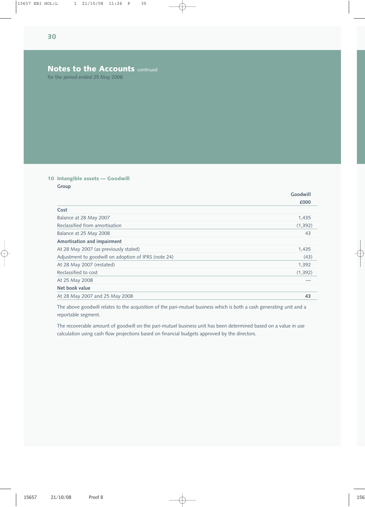for the period ended 25 May 2008

### **10 Intangible assets — Goodwill**

**Group**

|                                                      | Goodwill |
|------------------------------------------------------|----------|
|                                                      | £000     |
| Cost                                                 |          |
| Balance at 28 May 2007                               | 1,435    |
| Reclassified from amortisation                       | (1,392)  |
| Balance at 25 May 2008                               | 43       |
| Amortisation and impairment                          |          |
| At 28 May 2007 (as previously stated)                | 1,435    |
| Adjustment to goodwill on adoption of IFRS (note 24) | (43)     |
| At 28 May 2007 (restated)                            | 1,392    |
| Reclassified to cost                                 | (1,392)  |
| At 25 May 2008                                       |          |
| Net book value                                       |          |
| At 28 May 2007 and 25 May 2008                       | 43       |

The above goodwill relates to the acquisition of the pari-mutuel business which is both a cash generating unit and a reportable segment.

The recoverable amount of goodwill on the pari-mutuel business unit has been determined based on a value in use calculation using cash flow projections based on financial budgets approved by the directors.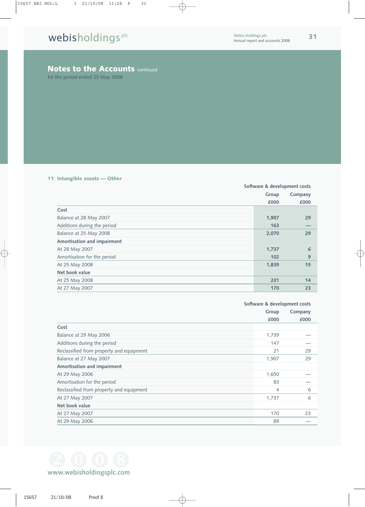for the period ended 25 May 2008

#### **11 Intangible assets — Other**

|                             | Software & development costs |         |
|-----------------------------|------------------------------|---------|
|                             | Group                        | Company |
|                             | £000                         | £000    |
| Cost                        |                              |         |
| Balance at 28 May 2007      | 1,907                        | 29      |
| Additions during the period | 163                          |         |
| Balance at 25 May 2008      | 2,070                        | 29      |
| Amortisation and impairment |                              |         |
| At 28 May 2007              | 1,737                        | 6       |
| Amortisation for the period | 102                          | 9       |
| At 25 May 2008              | 1,839                        | 15      |
| Net book value              |                              |         |
| At 25 May 2008              | 231                          | 14      |
| At 27 May 2007              | 170                          | 23      |

|                                          | Software & development costs |         |
|------------------------------------------|------------------------------|---------|
|                                          | Group                        | Company |
|                                          | £000                         | £000    |
| Cost                                     |                              |         |
| Balance at 29 May 2006                   | 1,739                        |         |
| Additions during the period              | 147                          |         |
| Reclassified from property and equipment | 21                           | 29      |
| Balance at 27 May 2007                   | 1,907                        | 29      |
| Amortisation and impairment              |                              |         |
| At 29 May 2006                           | 1,650                        |         |
| Amortisation for the period              | 83                           |         |
| Reclassified from property and equipment | $\overline{4}$               | 6       |
| At 27 May 2007                           | 1,737                        | 6       |
| Net book value                           |                              |         |
| At 27 May 2007                           | 170                          | 23      |
| At 29 May 2006                           | 89                           |         |

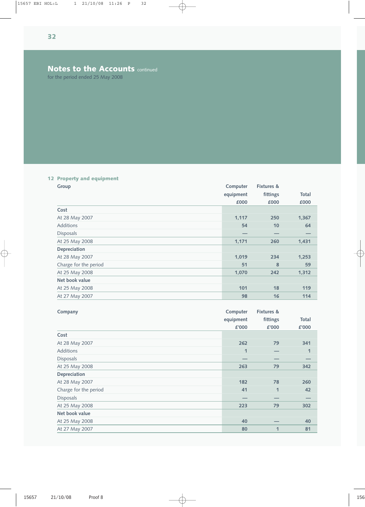for the period ended 25 May 2008

## **12 Property and equipment**

| Group                 | Computer  | <b>Fixtures &amp;</b> |       |
|-----------------------|-----------|-----------------------|-------|
|                       | equipment | fittings              | Total |
|                       | £000      | £000                  | £000  |
| Cost                  |           |                       |       |
| At 28 May 2007        | 1,117     | 250                   | 1,367 |
| <b>Additions</b>      | 54        | 10                    | 64    |
| Disposals             |           |                       |       |
| At 25 May 2008        | 1,171     | 260                   | 1,431 |
| Depreciation          |           |                       |       |
| At 28 May 2007        | 1,019     | 234                   | 1,253 |
| Charge for the period | 51        | 8                     | 59    |
| At 25 May 2008        | 1,070     | 242                   | 1,312 |
| Net book value        |           |                       |       |
| At 25 May 2008        | 101       | 18                    | 119   |
| At 27 May 2007        | 98        | 16                    | 114   |

| Company               | Computer  | <b>Fixtures &amp;</b> |       |
|-----------------------|-----------|-----------------------|-------|
|                       | equipment | fittings              | Total |
|                       | £'000     | £'000                 | £'000 |
| Cost                  |           |                       |       |
| At 28 May 2007        | 262       | 79                    | 341   |
| Additions             | 1         |                       | 1     |
| Disposals             |           |                       |       |
| At 25 May 2008        | 263       | 79                    | 342   |
| Depreciation          |           |                       |       |
| At 28 May 2007        | 182       | 78                    | 260   |
| Charge for the period | 41        | $\overline{1}$        | 42    |
| Disposals             |           |                       |       |
| At 25 May 2008        | 223       | 79                    | 302   |
| Net book value        |           |                       |       |
| At 25 May 2008        | 40        |                       | 40    |
| At 27 May 2007        | 80        | $\mathbf 1$           | 81    |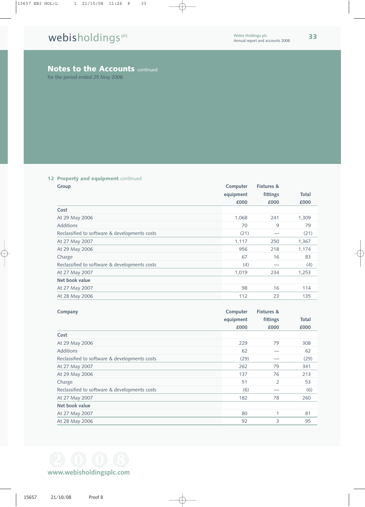for the period ended 25 May 2008

### **12 Property and equipment continued**

| Computer  | <b>Fixtures &amp;</b> |       |
|-----------|-----------------------|-------|
| equipment | fittings              | Total |
| £000      | £000                  | £000  |
|           |                       |       |
| 1,068     | 241                   | 1,309 |
| 70        | 9                     | 79    |
| (21)      |                       | (21)  |
| 1,117     | 250                   | 1,367 |
| 956       | 218                   | 1,174 |
| 67        | 16                    | 83    |
| (4)       |                       | (4)   |
| 1,019     | 234                   | 1,253 |
|           |                       |       |
| 98        | 16                    | 114   |
| 112       | 23                    | 135   |
|           |                       |       |

| Company                                       | Computer  | <b>Fixtures &amp;</b> |       |
|-----------------------------------------------|-----------|-----------------------|-------|
|                                               | equipment | fittings              | Total |
|                                               | £000      | £000                  | £000  |
| Cost                                          |           |                       |       |
| At 29 May 2006                                | 229       | 79                    | 308   |
| Additions                                     | 62        |                       | 62    |
| Reclassified to software & developments costs | (29)      |                       | (29)  |
| At 27 May 2007                                | 262       | 79                    | 341   |
| At 29 May 2006                                | 137       | 76                    | 213   |
| Charge                                        | 51        | $\overline{2}$        | 53    |
| Reclassified to software & developments costs | (6)       |                       | (6)   |
| At 27 May 2007                                | 182       | 78                    | 260   |
| Net book value                                |           |                       |       |
| At 27 May 2007                                | 80        | $\mathbf 1$           | 81    |
| At 28 May 2006                                | 92        | 3                     | 95    |

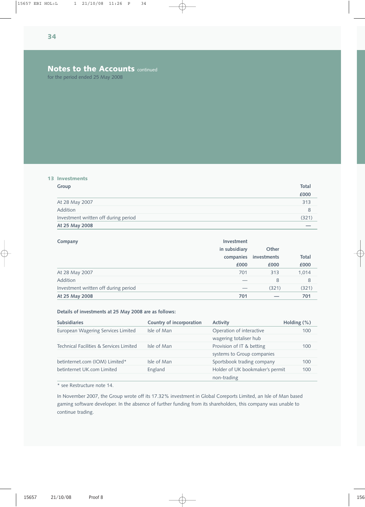for the period ended 25 May 2008

#### **13 Investments**

| Group                                | <b>Total</b> |
|--------------------------------------|--------------|
|                                      | £000         |
| At 28 May 2007                       | 313          |
| Addition                             |              |
| Investment written off during period | (321)        |
| At 25 May 2008                       |              |

| Company                              | Investment    |             |              |
|--------------------------------------|---------------|-------------|--------------|
|                                      | in subsidiary | Other       |              |
|                                      | companies     | investments | <b>Total</b> |
|                                      | £000          | £000        | £000         |
| At 28 May 2007                       | 701           | 313         | 1,014        |
| Addition                             |               | 8           | 8            |
| Investment written off during period |               | (321)       | (321)        |
| At 25 May 2008                       | 701           |             | 701          |

#### **Details of investments at 25 May 2008 are as follows:**

| <b>Subsidiaries</b>                     | Country of incorporation | <b>Activity</b>                 | Holding $(\%)$ |
|-----------------------------------------|--------------------------|---------------------------------|----------------|
| European Wagering Services Limited      | Isle of Man              | Operation of interactive        | 100            |
|                                         |                          | wagering totaliser hub          |                |
| Technical Facilities & Services Limited | Isle of Man              | Provision of IT & betting       | 100            |
|                                         |                          | systems to Group companies      |                |
| betinternet.com (IOM) Limited*          | Isle of Man              | Sportsbook trading company      | 100            |
| betinternet UK.com Limited              | England                  | Holder of UK bookmaker's permit | 100            |
|                                         |                          | non-trading                     |                |

\* see Restructure note 14.

In November 2007, the Group wrote off its 17.32% investment in Global Coreports Limited, an Isle of Man based gaming software developer. In the absence of further funding from its shareholders, this company was unable to continue trading.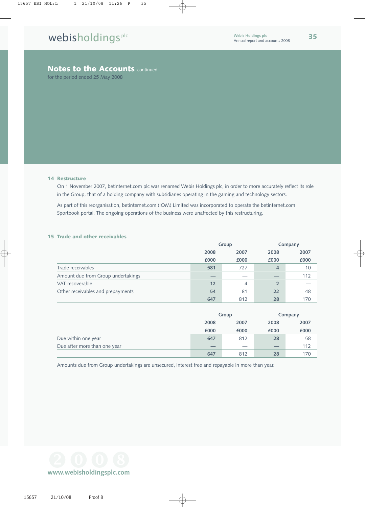for the period ended 25 May 2008

#### **14 Restructure**

On 1 November 2007, betinternet.com plc was renamed Webis Holdings plc, in order to more accurately reflect its role in the Group, that of a holding company with subsidiaries operating in the gaming and technology sectors.

As part of this reorganisation, betinternet.com (IOM) Limited was incorporated to operate the betinternet.com Sportbook portal. The ongoing operations of the business were unaffected by this restructuring.

#### **15 Trade and other receivables**

|                                    | Group        |      | Company      |      |
|------------------------------------|--------------|------|--------------|------|
|                                    | 2008<br>£000 | 2007 | 2008         | 2007 |
|                                    |              |      | £000<br>£000 |      |
| Trade receivables                  | 581          | 727  | 4            | 10   |
| Amount due from Group undertakings |              |      |              | 112  |
| VAT recoverable                    | 12           | 4    | 2            |      |
| Other receivables and prepayments  | 54           | 81   | 22           | 48   |
|                                    | 647          | 812  | 28           | 170  |

|                              | Group |                          | Company |      |
|------------------------------|-------|--------------------------|---------|------|
|                              | 2008  | 2007                     | 2008    | 2007 |
|                              | £000  | £000                     | £000    | £000 |
| Due within one year          | 647   | 812                      | 28      | 58   |
| Due after more than one year |       | $\overline{\phantom{a}}$ |         | 112  |
|                              | 647   | 812                      | 28      | 170  |

Amounts due from Group undertakings are unsecured, interest free and repayable in more than year.

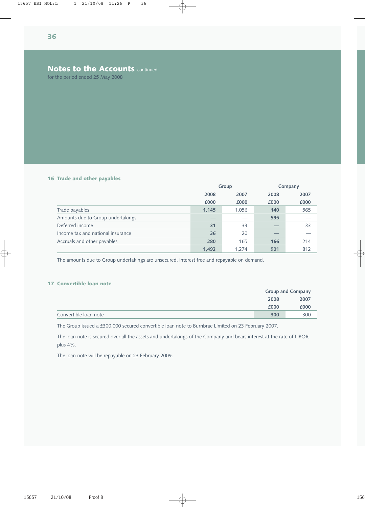for the period ended 25 May 2008

#### **16 Trade and other payables**

|                                   | Group |       | Company |      |
|-----------------------------------|-------|-------|---------|------|
|                                   | 2008  | 2007  | 2008    | 2007 |
|                                   | £000  | £000  | £000    | £000 |
| Trade payables                    | 1,145 | 1,056 | 140     | 565  |
| Amounts due to Group undertakings |       |       | 595     |      |
| Deferred income                   | 31    | 33    |         | 33   |
| Income tax and national insurance | 36    | 20    |         |      |
| Accruals and other payables       | 280   | 165   | 166     | 214  |
|                                   | 1,492 | 1.274 | 901     | 812  |

The amounts due to Group undertakings are unsecured, interest free and repayable on demand.

#### **17 Convertible loan note**

|                       |      | Group and Company |
|-----------------------|------|-------------------|
|                       | 2008 | 2007              |
|                       | £000 | £000              |
| Convertible loan note | 300  | 300               |

The Group issued a £300,000 secured convertible loan note to Burnbrae Limited on 23 February 2007.

The loan note is secured over all the assets and undertakings of the Company and bears interest at the rate of LIBOR plus 4%.

The loan note will be repayable on 23 February 2009.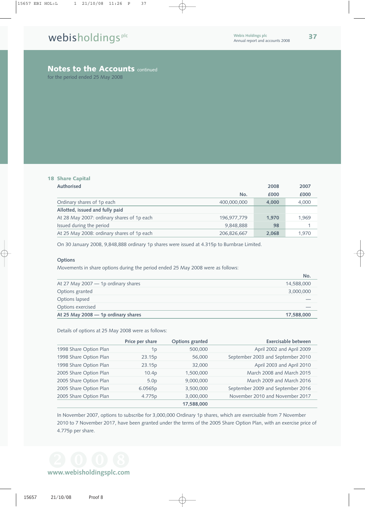for the period ended 25 May 2008

### **18 Share Capital**

| <b>Authorised</b>                          |             | 2008  | 2007  |
|--------------------------------------------|-------------|-------|-------|
|                                            | No.         | £000  | £000  |
| Ordinary shares of 1p each                 | 400,000,000 | 4.000 | 4,000 |
| Allotted, issued and fully paid            |             |       |       |
| At 28 May 2007: ordinary shares of 1p each | 196.977.779 | 1.970 | 1.969 |
| Issued during the period                   | 9,848,888   | 98    |       |
| At 25 May 2008: ordinary shares of 1p each | 206,826,667 | 2,068 | 1.970 |

On 30 January 2008, 9,848,888 ordinary 1p shares were issued at 4.315p to Burnbrae Limited.

#### **Options**

Movements in share options during the period ended 25 May 2008 were as follows:

|                                     | No.        |
|-------------------------------------|------------|
| At 27 May 2007 - 1p ordinary shares | 14,588,000 |
| Options granted                     | 3,000,000  |
| Options lapsed                      |            |
| Options exercised                   |            |
| At 25 May 2008 - 1p ordinary shares | 17,588,000 |

Details of options at 25 May 2008 were as follows:

|                        | Price per share   | Options granted | Exercisable between               |
|------------------------|-------------------|-----------------|-----------------------------------|
| 1998 Share Option Plan | 1p                | 500,000         | April 2002 and April 2009         |
| 1998 Share Option Plan | 23.15p            | 56,000          | September 2003 and September 2010 |
| 1998 Share Option Plan | 23.15p            | 32,000          | April 2003 and April 2010         |
| 2005 Share Option Plan | 10.4 <sub>p</sub> | 1,500,000       | March 2008 and March 2015         |
| 2005 Share Option Plan | 5.0 <sub>p</sub>  | 9,000,000       | March 2009 and March 2016         |
| 2005 Share Option Plan | 6.0565p           | 3,500,000       | September 2009 and September 2016 |
| 2005 Share Option Plan | 4.775p            | 3,000,000       | November 2010 and November 2017   |
|                        |                   | 17,588,000      |                                   |

In November 2007, options to subscribe for 3,000,000 Ordinary 1p shares, which are exercisable from 7 November 2010 to 7 November 2017, have been granted under the terms of the 2005 Share Option Plan, with an exercise price of 4.775p per share.

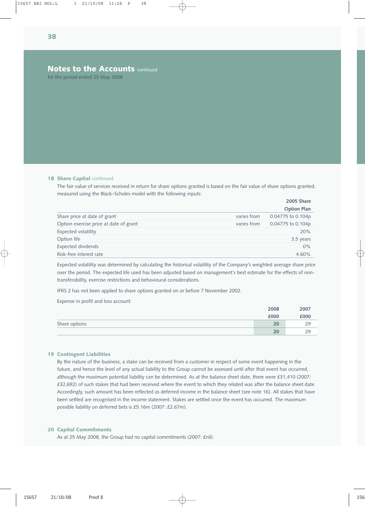for the period ended 25 May 2008

#### **18 Share Capital continued**

The fair value of services received in return for share options granted is based on the fair value of share options granted, measured using the Black–Scholes model with the following inputs:

|                                        |             | <b>2005 Share</b>  |
|----------------------------------------|-------------|--------------------|
|                                        |             | <b>Option Plan</b> |
| Share price at date of grant           | varies from | 0.04775 to 0.104p  |
| Option exercise price at date of grant | varies from | 0.04775 to 0.104p  |
| Expected volatility                    |             | 20%                |
| Option life                            |             | 3.5 years          |
| Expected dividends                     |             | 0%                 |
| Risk-free interest rate                |             | 4.60%              |

Expected volatility was determined by calculating the historical volatility of the Company's weighted average share price over the period. The expected life used has been adjusted based on management's best estimate for the effects of nontransferability, exercise restrictions and behavioural considerations.

IFRS 2 has not been applied to share options granted on or before 7 November 2002.

Expense in profit and loss account:

|               | 2008     |                                 |
|---------------|----------|---------------------------------|
|               | £000     | £000                            |
| Share options | ำเ<br>zu | $\overline{\Omega}$<br><u>_</u> |
|               | วเ<br>∠∪ | າດ<br>--                        |

#### **19 Contingent Liabilities**

By the nature of the business, a stake can be received from a customer in respect of some event happening in the future, and hence the level of any actual liability to the Group cannot be assessed until after that event has occurred, although the maximum potential liability can be determined. As at the balance sheet date, there were £31,410 (2007: £32,692) of such stakes that had been received where the event to which they related was after the balance sheet date. Accordingly, such amount has been reflected as deferred income in the balance sheet (see note 16). All stakes that have been settled are recognised in the income statement. Stakes are settled once the event has occurred. The maximum possible liability on deferred bets is £5.16m (2007: £2.67m).

#### **20 Capital Commitments**

As at 25 May 2008, the Group had no capital commitments (2007: £nil).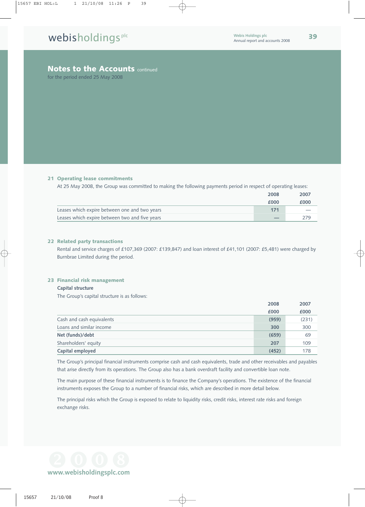for the period ended 25 May 2008

#### **21 Operating lease commitments**

At 25 May 2008, the Group was committed to making the following payments period in respect of operating leases:

|                                                | 2008 | 2007 |
|------------------------------------------------|------|------|
|                                                | £000 | £000 |
| Leases which expire between one and two years  |      |      |
| Leases which expire between two and five years |      |      |

#### **22 Related party transactions**

Rental and service charges of £107,369 (2007: £139,847) and loan interest of £41,101 (2007: £5,481) were charged by Burnbrae Limited during the period.

#### **23 Financial risk management**

#### **Capital structure**

The Group's capital structure is as follows:

|                           | 2008  | 2007  |
|---------------------------|-------|-------|
|                           | £000  | £000  |
| Cash and cash equivalents | (959) | (231) |
| Loans and similar income  | 300   | 300   |
| Net (funds)/debt          | (659) | 69    |
| Shareholders' equity      | 207   | 109   |
| Capital employed          | (452) | 178   |

The Group's principal financial instruments comprise cash and cash equivalents, trade and other receivables and payables that arise directly from its operations. The Group also has a bank overdraft facility and convertible loan note.

The main purpose of these financial instruments is to finance the Company's operations. The existence of the financial instruments exposes the Group to a number of financial risks, which are described in more detail below.

The principal risks which the Group is exposed to relate to liquidity risks, credit risks, interest rate risks and foreign exchange risks.

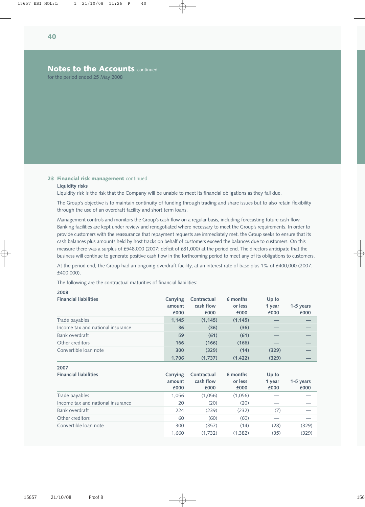for the period ended 25 May 2008

#### 23 Financial risk management continued

#### **Liquidity risks**

Liquidity risk is the risk that the Company will be unable to meet its financial obligations as they fall due.

The Group's objective is to maintain continuity of funding through trading and share issues but to also retain flexibility through the use of an overdraft facility and short term loans.

Management controls and monitors the Group's cash flow on a regular basis, including forecasting future cash flow. Banking facilities are kept under review and renegotiated where necessary to meet the Group's requirements. In order to provide customers with the reassurance that repayment requests are immediately met, the Group seeks to ensure that its cash balances plus amounts held by host tracks on behalf of customers exceed the balances due to customers. On this measure there was a surplus of £548,000 (2007: deficit of £81,000) at the period end. The directors anticipate that the business will continue to generate positive cash flow in the forthcoming period to meet any of its obligations to customers.

At the period end, the Group had an ongoing overdraft facility, at an interest rate of base plus 1% of £400,000 (2007: £400,000).

The following are the contractual maturities of financial liabilities:

**2008**

| <b>Financial liabilities</b>      | Carrying<br>amount<br>£000 | Contractual<br>cash flow<br>£000 | 6 months<br>or less<br>£000 | Up to<br>1 year<br>£000 | 1-5 years<br>£000 |
|-----------------------------------|----------------------------|----------------------------------|-----------------------------|-------------------------|-------------------|
| Trade payables                    | 1,145                      | (1, 145)                         | (1, 145)                    |                         |                   |
| Income tax and national insurance | 36                         | (36)                             | (36)                        |                         |                   |
| Bank overdraft                    | 59                         | (61)                             | (61)                        |                         |                   |
| Other creditors                   | 166                        | (166)                            | (166)                       |                         |                   |
| Convertible loan note             | 300                        | (329)                            | (14)                        | (329)                   |                   |
|                                   | 1.706                      | (1.737)                          | (1, 422)                    | (329)                   |                   |

| 2007                              |                            |                                  |                             |                         |                   |
|-----------------------------------|----------------------------|----------------------------------|-----------------------------|-------------------------|-------------------|
| <b>Financial liabilities</b>      | Carrying<br>amount<br>£000 | Contractual<br>cash flow<br>£000 | 6 months<br>or less<br>£000 | Up to<br>1 year<br>£000 | 1-5 years<br>£000 |
| Trade payables                    | 1.056                      | (1,056)                          | (1,056)                     |                         |                   |
| Income tax and national insurance | 20                         | (20)                             | (20)                        |                         |                   |
| Bank overdraft                    | 224                        | (239)                            | (232)                       | (7)                     |                   |
| Other creditors                   | 60                         | (60)                             | (60)                        |                         |                   |
| Convertible loan note             | 300                        | (357)                            | (14)                        | (28)                    | (329)             |
|                                   | 1,660                      | (1,732)                          | (1,382)                     | (35)                    | (329)             |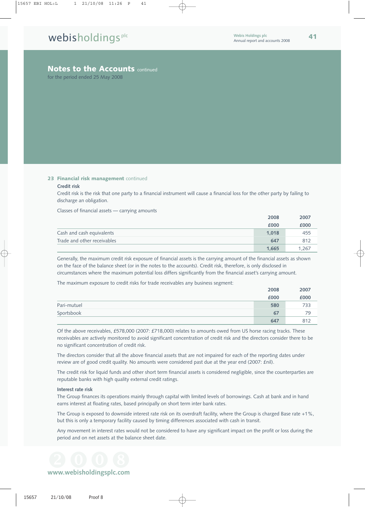for the period ended 25 May 2008

#### 23 Financial risk management continued

#### **Credit risk**

Credit risk is the risk that one party to a financial instrument will cause a financial loss for the other party by failing to discharge an obligation.

Classes of financial assets — carrying amounts

|                             | 2008  | 2007  |
|-----------------------------|-------|-------|
|                             | £000  | £000  |
| Cash and cash equivalents   | 1.018 | 455   |
| Trade and other receivables | 647   | 812   |
|                             | 1.665 | 1.267 |

Generally, the maximum credit risk exposure of financial assets is the carrying amount of the financial assets as shown on the face of the balance sheet (or in the notes to the accounts). Credit risk, therefore, is only disclosed in circumstances where the maximum potential loss differs significantly from the financial asset's carrying amount.

The maximum exposure to credit risks for trade receivables any business segment:

|             | 2008 | 2007 |
|-------------|------|------|
|             | £000 | £000 |
| Pari-mutuel | 580  | 733  |
| Sportsbook  | 67   | 79   |
|             | 647  | 812  |

Of the above receivables, £578,000 (2007: £718,000) relates to amounts owed from US horse racing tracks. These receivables are actively monitored to avoid significant concentration of credit risk and the directors consider there to be no significant concentration of credit risk.

The directors consider that all the above financial assets that are not impaired for each of the reporting dates under review are of good credit quality. No amounts were considered past due at the year end (2007: £nil).

The credit risk for liquid funds and other short term financial assets is considered negligible, since the counterparties are reputable banks with high quality external credit ratings.

#### **Interest rate risk**

The Group finances its operations mainly through capital with limited levels of borrowings. Cash at bank and in hand earns interest at floating rates, based principally on short term inter bank rates.

The Group is exposed to downside interest rate risk on its overdraft facility, where the Group is charged Base rate +1%, but this is only a temporary facility caused by timing differences associated with cash in transit.

Any movement in interest rates would not be considered to have any significant impact on the profit or loss during the period and on net assets at the balance sheet date.

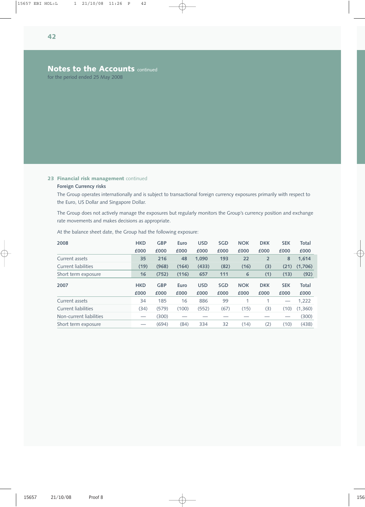for the period ended 25 May 2008

### 23 Financial risk management continued

#### **Foreign Currency risks**

The Group operates internationally and is subject to transactional foreign currency exposures primarily with respect to the Euro, US Dollar and Singapore Dollar.

The Group does not actively manage the exposures but regularly monitors the Group's currency position and exchange rate movements and makes decisions as appropriate.

At the balance sheet date, the Group had the following exposure:

| 2008                       | <b>HKD</b>               | <b>GBP</b> | <b>Euro</b> | <b>USD</b> | <b>SGD</b> | <b>NOK</b> | <b>DKK</b>     | <b>SEK</b> | <b>Total</b> |
|----------------------------|--------------------------|------------|-------------|------------|------------|------------|----------------|------------|--------------|
|                            | £000                     | £000       | £000        | £000       | £000       | £000       | £000           | £000       | £000         |
| Current assets             | 35                       | 216        | 48          | 1,090      | 193        | 22         | $\overline{2}$ | 8          | 1,614        |
| <b>Current liabilities</b> | (19)                     | (968)      | (164)       | (433)      | (82)       | (16)       | (3)            | (21)       | (1,706)      |
| Short term exposure        | 16                       | (752)      | (116)       | 657        | 111        | 6          | (1)            | (13)       | (92)         |
| 2007                       | <b>HKD</b>               | <b>GBP</b> | <b>Euro</b> | <b>USD</b> | <b>SGD</b> | <b>NOK</b> | <b>DKK</b>     | <b>SEK</b> | <b>Total</b> |
|                            | £000                     | £000       | £000        | £000       | £000       | £000       | £000           | £000       | £000         |
| Current assets             | 34                       | 185        | 16          | 886        | 99         |            |                |            | 1,222        |
| <b>Current liabilities</b> | (34)                     | (579)      | (100)       | (552)      | (67)       | (15)       | (3)            | (10)       | (1,360)      |
| Non-current liabilities    | $\overline{\phantom{a}}$ | (300)      |             |            |            |            |                |            | (300)        |
| Short term exposure        |                          | (694)      | (84)        | 334        | 32         | (14)       | (2)            | (10)       | (438)        |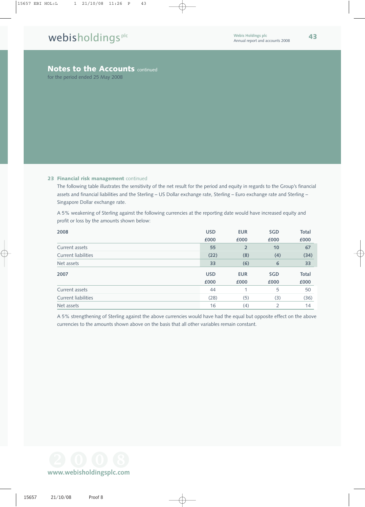for the period ended 25 May 2008

#### **23 Financial risk management** continued

The following table illustrates the sensitivity of the net result for the period and equity in regards to the Group's financial assets and financial liabilities and the Sterling – US Dollar exchange rate, Sterling – Euro exchange rate and Sterling – Singapore Dollar exchange rate.

A 5% weakening of Sterling against the following currencies at the reporting date would have increased equity and profit or loss by the amounts shown below:

| 2008                       | <b>USD</b> | <b>EUR</b>     | <b>SGD</b> | <b>Total</b> |
|----------------------------|------------|----------------|------------|--------------|
|                            | £000       | £000           | £000       | £000         |
| Current assets             | 55         | $\overline{2}$ | 10         | 67           |
| <b>Current liabilities</b> | (22)       | (8)            | (4)        | (34)         |
| Net assets                 | 33         | (6)            | 6          | 33           |
| 2007                       | <b>USD</b> | <b>EUR</b>     | <b>SGD</b> | <b>Total</b> |
|                            | £000       | £000           | £000       | £000         |
| Current assets             | 44         | 1              | 5          | 50           |
| <b>Current liabilities</b> | (28)       | (5)            | (3)        | (36)         |
| Net assets                 | 16         | (4)            | 2          | 14           |

A 5% strengthening of Sterling against the above currencies would have had the equal but opposite effect on the above currencies to the amounts shown above on the basis that all other variables remain constant.

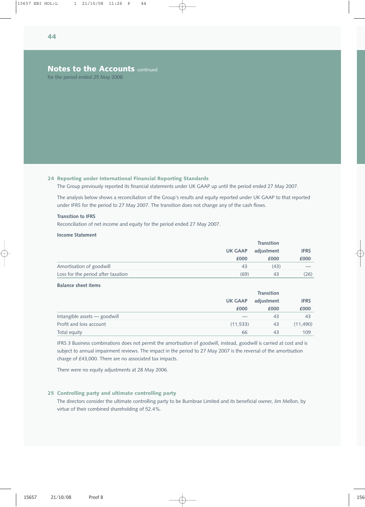for the period ended 25 May 2008

#### **24 Reporting under International Financial Reporting Standards**

The Group previously reported its financial statements under UK GAAP up until the period ended 27 May 2007.

The analysis below shows a reconciliation of the Group's results and equity reported under UK GAAP to that reported under IFRS for the period to 27 May 2007. The transition does not change any of the cash flows.

#### **Transition to IFRS**

Reconciliation of net income and equity for the period ended 27 May 2007.

#### **Income Statement**

|                                    |      | Transition         |             |  |
|------------------------------------|------|--------------------|-------------|--|
|                                    |      | UK GAAP adjustment | <b>IFRS</b> |  |
|                                    | £000 | £000               | £000        |  |
| Amortisation of goodwill           | 43   | (43)               |             |  |
| Loss for the period after taxation | (69) | 43                 | (26)        |  |

#### **Balance sheet items**

|                              |                | <b>Transition</b> |             |
|------------------------------|----------------|-------------------|-------------|
|                              | <b>UK GAAP</b> | adjustment        | <b>IFRS</b> |
|                              | £000           | £000              | £000        |
| Intangible assets - goodwill |                | 43                | 43          |
| Profit and loss account      | (11, 533)      | 43                | (11, 490)   |
| Total equity                 | 66             | 43                | 109         |

IFRS 3 Business combinations does not permit the amortisation of goodwill, instead, goodwill is carried at cost and is subject to annual impairment reviews. The impact in the period to 27 May 2007 is the reversal of the amortisation charge of £43,000. There are no associated tax impacts.

There were no equity adjustments at 28 May 2006.

#### **25 Controlling party and ultimate controlling party**

The directors consider the ultimate controlling party to be Burnbrae Limited and its beneficial owner, Jim Mellon, by virtue of their combined shareholding of 52.4%.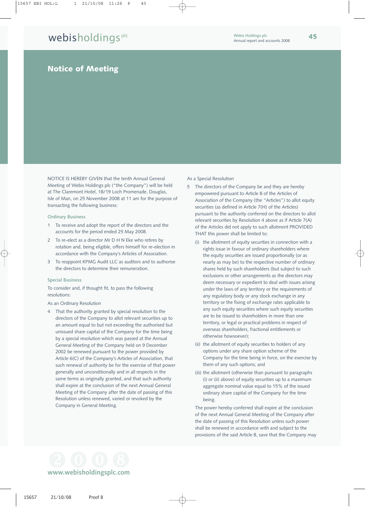# **Notice of Meeting**

**45**

NOTICE IS HEREBY GIVEN that the tenth Annual General Meeting of Webis Holdings plc ("the Company") will be held at The Claremont Hotel, 18/19 Loch Promenade, Douglas, Isle of Man, on 25 November 2008 at 11 am for the purpose of transacting the following business:

#### **Ordinary Business**

- 1 To receive and adopt the report of the directors and the accounts for the period ended 25 May 2008.
- 2 To re-elect as a director Mr D H N Eke who retires by rotation and, being eligible, offers himself for re-election in accordance with the Company's Articles of Association.
- 3 To reappoint KPMG Audit LLC as auditors and to authorise the directors to determine their remuneration.

#### **Special Business**

To consider and, if thought fit, to pass the following resolutions:

#### As an Ordinary Resolution

4 That the authority granted by special resolution to the directors of the Company to allot relevant securities up to an amount equal to but not exceeding the authorised but unissued share capital of the Company for the time being by a special resolution which was passed at the Annual General Meeting of the Company held on 9 December 2002 be renewed pursuant to the power provided by Article 6(C) of the Company's Articles of Association, that such renewal of authority be for the exercise of that power generally and unconditionally and in all respects in the same terms as originally granted, and that such authority shall expire at the conclusion of the next Annual General Meeting of the Company after the date of passing of this Resolution unless renewed, varied or revoked by the Company in General Meeting.

#### As a Special Resolution

- 5 The directors of the Company be and they are hereby empowered pursuant to Article 8 of the Articles of Association of the Company (the "Articles") to allot equity securities (as defined in Article 7(H) of the Articles) pursuant to the authority conferred on the directors to allot relevant securities by Resolution 4 above as if Article 7(A) of the Articles did not apply to such allotment PROVIDED THAT this power shall be limited to:
	- (i) the allotment of equity securities in connection with a rights issue in favour of ordinary shareholders where the equity securities are issued proportionally (or as nearly as may be) to the respective number of ordinary shares held by such shareholders (but subject to such exclusions or other arrangements as the directors may deem necessary or expedient to deal with issues arising under the laws of any territory or the requirements of any regulatory body or any stock exchange in any territory or the fixing of exchange rates applicable to any such equity securities where such equity securities are to be issued to shareholders in more than one territory, or legal or practical problems in respect of overseas shareholders, fractional entitlements or otherwise howsoever);
	- (ii) the allotment of equity securities to holders of any options under any share option scheme of the Company for the time being in force, on the exercise by them of any such options; and
	- (iii) the allotment (otherwise than pursuant to paragraphs (i) or (ii) above) of equity securities up to a maximum aggregate nominal value equal to 15% of the issued ordinary share capital of the Company for the time being.

The power hereby conferred shall expire at the conclusion of the next Annual General Meeting of the Company after the date of passing of this Resolution unless such power shall be renewed in accordance with and subject to the provisions of the said Article 8, save that the Company may

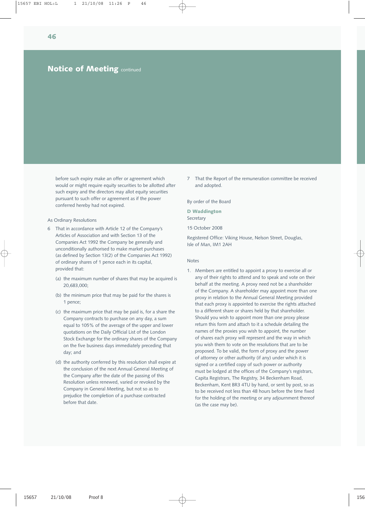## **Notice of Meeting Continued**

before such expiry make an offer or agreement which would or might require equity securities to be allotted after such expiry and the directors may allot equity securities pursuant to such offer or agreement as if the power conferred hereby had not expired.

#### As Ordinary Resolutions

- 6 That in accordance with Article 12 of the Company's Articles of Association and with Section 13 of the Companies Act 1992 the Company be generally and unconditionally authorised to make market purchases (as defined by Section 13(2) of the Companies Act 1992) of ordinary shares of 1 pence each in its capital, provided that:
	- (a) the maximum number of shares that may be acquired is 20,683,000;
	- (b) the minimum price that may be paid for the shares is 1 pence;
	- (c) the maximum price that may be paid is, for a share the Company contracts to purchase on any day, a sum equal to 105% of the average of the upper and lower quotations on the Daily Official List of the London Stock Exchange for the ordinary shares of the Company on the five business days immediately preceding that day; and
	- (d) the authority conferred by this resolution shall expire at the conclusion of the next Annual General Meeting of the Company after the date of the passing of this Resolution unless renewed, varied or revoked by the Company in General Meeting, but not so as to prejudice the completion of a purchase contracted before that date.

7 That the Report of the remuneration committee be received and adopted.

By order of the Board

**D Waddington Secretary** 

15 October 2008

Registered Office: Viking House, Nelson Street, Douglas, Isle of Man, IM1 2AH

#### Notes

1. Members are entitled to appoint a proxy to exercise all or any of their rights to attend and to speak and vote on their behalf at the meeting. A proxy need not be a shareholder of the Company. A shareholder may appoint more than one proxy in relation to the Annual General Meeting provided that each proxy is appointed to exercise the rights attached to a different share or shares held by that shareholder. Should you wish to appoint more than one proxy please return this form and attach to it a schedule detailing the names of the proxies you wish to appoint, the number of shares each proxy will represent and the way in which you wish them to vote on the resolutions that are to be proposed. To be valid, the form of proxy and the power of attorney or other authority (if any) under which it is signed or a certified copy of such power or authority must be lodged at the offices of the Company's registrars, Capita Registrars, The Registry, 34 Beckenham Road, Beckenham, Kent BR3 4TU by hand, or sent by post, so as to be received not less than 48 hours before the time fixed for the holding of the meeting or any adjournment thereof (as the case may be).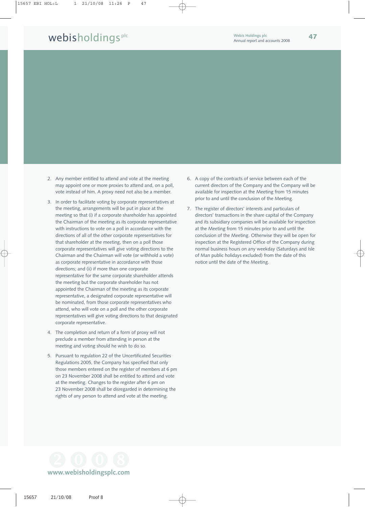# **webisholdings**  $plc$  **Webisholdings** plc

2. Any member entitled to attend and vote at the meeting may appoint one or more proxies to attend and, on a poll,

vote instead of him. A proxy need not also be a member.

- 3. In order to facilitate voting by corporate representatives at the meeting, arrangements will be put in place at the meeting so that (i) if a corporate shareholder has appointed the Chairman of the meeting as its corporate representative with instructions to vote on a poll in accordance with the directions of all of the other corporate representatives for that shareholder at the meeting, then on a poll those corporate representatives will give voting directions to the Chairman and the Chairman will vote (or withhold a vote) as corporate representative in accordance with those directions; and (ii) if more than one corporate representative for the same corporate shareholder attends the meeting but the corporate shareholder has not appointed the Chairman of the meeting as its corporate representative, a designated corporate representative will be nominated, from those corporate representatives who attend, who will vote on a poll and the other corporate representatives will give voting directions to that designated corporate representative.
- 4. The completion and return of a form of proxy will not preclude a member from attending in person at the meeting and voting should he wish to do so.
- 5. Pursuant to regulation 22 of the Uncertificated Securities Regulations 2005, the Company has specified that only those members entered on the register of members at 6 pm on 23 November 2008 shall be entitled to attend and vote at the meeting. Changes to the register after 6 pm on 23 November 2008 shall be disregarded in determining the rights of any person to attend and vote at the meeting.
- 6. A copy of the contracts of service between each of the current directors of the Company and the Company will be available for inspection at the Meeting from 15 minutes prior to and until the conclusion of the Meeting.
- 7. The register of directors' interests and particulars of directors' transactions in the share capital of the Company and its subsidiary companies will be available for inspection at the Meeting from 15 minutes prior to and until the conclusion of the Meeting. Otherwise they will be open for inspection at the Registered Office of the Company during normal business hours on any weekday (Saturdays and Isle of Man public holidays excluded) from the date of this notice until the date of the Meeting.

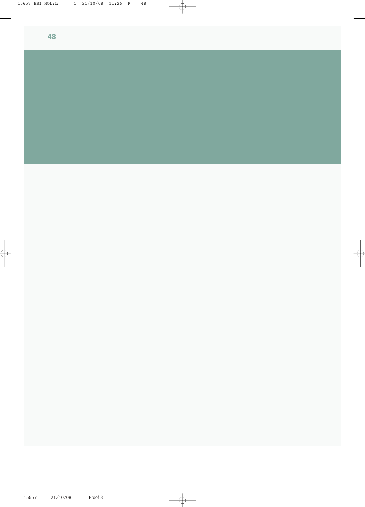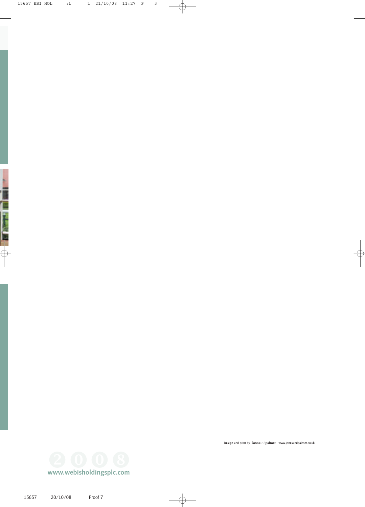

Design and print by Jonesandpalmer www.jonesandpalmer.co.uk